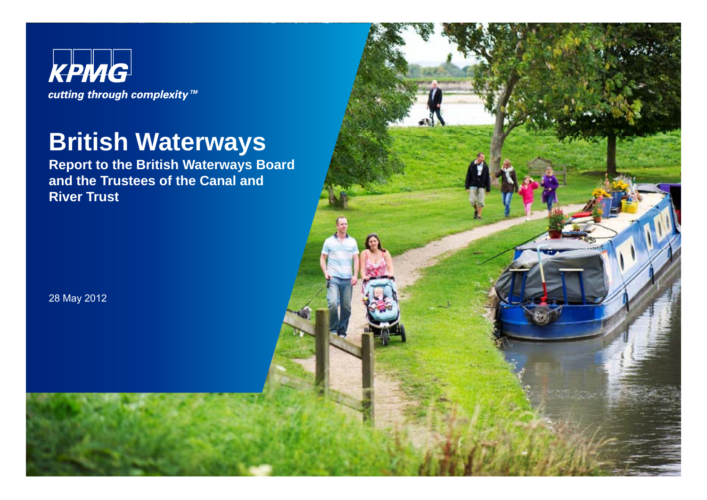

# **British Waterways**

**Report to the British Waterways Board and the Trustees of the Canal and Ri T t ver Trus**

28 May 2012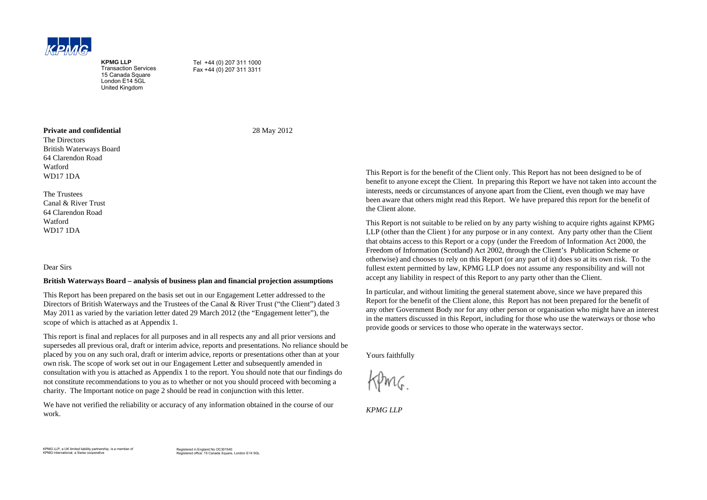

**KPMG LLP** Transaction Services15 Canada Square London E14 5GL United Kingdom

Tel +44 (0) 207 311 1000 Fax +44 (0) 207 311 3311

28 May 2012

#### **Private and confidential**

The DirectorsBritish Waterways Board 64 Clarendon RoadWatfordWD17 1DA

The Trustees Canal & River Trust64 Clarendon Road**Watford** WD17 1DA

#### Dear Sirs

#### **British Waterways Board – analysis of business plan and financial projection assumptions**

This Report has been prepared on the basis set out in our Engagement Letter addressed to the Directors of British Waterways and the Trustees of the Canal & River Trust ("the Client") dated 3 May 2011 as varied by the variation letter dated 29 March 2012 (the "Engagement letter"), the scope of which is attached as at Appendix 1.

This report is final and replaces for all purposes and in all respects any and all prior versions and supersedes all previous oral, draft or interim advice, reports and presentations. No reliance should be placed by you on any such oral, draft or interim advice, reports or presentations other than at your own risk The scope of work set out in our Engagement Letter and subsequently amended in consultation with you is attached as Appendix 1 to the report. You should note that our findings do not constitute recommendations to you as to whether or not you should proceed with becoming a charity. The Important notice on page 2 should be read in conjunction with this letter.

We have not verified the reliability or accuracy of any information obtained in the course of our work.

This Report is for the benefit of the Client only. This Report has not been designed to be of benefit to anyone except the Client. In preparing this Report we have not taken into account the interests, needs or circumstances of anyone apar<sup>t</sup> from the Client, even though we may have tees<br>Biver Trust the Client alone.

> This Report is not suitable to be relied on by any party wishing to acquire rights against KPMG LLP (other than the Client ) for any purpose or in any context. Any party other than the Client that obtains access to this Report or a copy (under the Freedom of Information Act 2000, the Freedom of Information (Scotland) Act 2002 through the Client's Publication Scheme or otherwise) and chooses to rely on this Report (or any part of it) does so at its own risk. To the fullest extent permitted by law, KPMG LLP does not assume any responsibility and will not accept any liability in respect of this Report to any party other than the Client.

In particular, and without limiting the general statement above, since we have prepared this Report for the benefit of the Client alone, this Report has not been prepared for the benefit of any other Government Body nor for any other person or organisation who might have an interest in the matters discussed in this Report, including for those who use the waterways or those who provide goods or services to those who operate in the waterways sector.

Yours faithfully

*KPMG LLP*

KPMG LLP, a UK limited liability partnership, is a member of KPMG International, a Swiss cooperative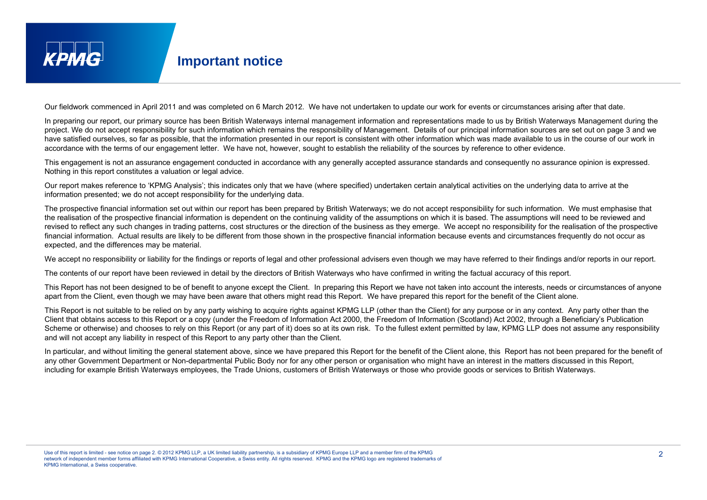

### **Important notice**

Our fieldwork commenced in April 2011 and was completed on 6 March 2012. We have not undertaken to update our work for events or circumstances arising after that date.

In preparing our report, our primary source has been British Waterways internal management information and representations made to us by British Waterways Management during the project. We do not accept responsibility for such information which remains the responsibility of Management. Details of our principal information sources are set out on page 3 and we have satisfied ourselves, so far as possible, that the information presented in our report is consistent with other information which was made available to us in the course of our work in accordance with the terms of our engagement letter. We have not, however, sought to establish the reliability of the sources by reference to other evidence.

This engagement is not an assurance engagement conducted in accordance with any generally accepted assurance standards and consequently no assurance opinion is expressed. Nothing in this report constitutes a valuation or legal advice.

Our report makes reference to 'KPMG Analysis'; this indicates only that we have (where specified) undertaken certain analytical activities on the underlying data to arrive at the information presented; we do not accept responsibility for the underlying data.

The prospective financial information set out within our report has been prepared by British Waterways; we do not accept responsibility for such information. We must emphasise that the realisation of the prospective financial information is dependent on the continuing validity of the assumptions on which it is based. The assumptions will need to be reviewed and revised to reflect any such changes in trading patterns, cost structures or the direction of the business as they emerge. We accept no responsibility for the realisation of the prospective financial information. Actual results are likely to be different from those shown in the prospective financial information because events and circumstances frequently do not occur as expected, and the differences may be material.

We accept no responsibility or liability for the findings or reports of legal and other professional advisers even though we may have referred to their findings and/or reports in our report.

The contents of our report have been reviewed in detail by the directors of British Waterways who have confirmed in writing the factual accuracy of this report.

This Report has not been designed to be of benefit to anyone except the Client. In preparing this Report we have not taken into account the interests, needs or circumstances of anyone apart from the Client, even though we may have been aware that others might read this Report. We have prepared this report for the benefit of the Client alone.

This Report is not suitable to be relied on by any party wishing to acquire rights against KPMG LLP (other than the Client) for any purpose or in any context. Any party other than the Client that obtains access to this Report or a copy (under the Freedom of Information Act 2000, the Freedom of Information (Scotland) Act 2002, through a Beneficiary's Publication Scheme or otherwise) and chooses to rely on this Report (or any part of it) does so at its own risk. To the fullest extent permitted by law, KPMG LLP does not assume any responsibility and will not accept any liability in respect of this Report to any party other than the Client.

In particular, and without limiting the general statement above, since we have prepared this Report for the benefit of the Client alone, this Report has not been prepared for the benefit of any other Government Department or Non-departmental Public Body nor for any other person or organisation who might have an interest in the matters discussed in this Report, including for example British Waterways employees, the Trade Unions, customers of British Waterways or those who provide goods or services to British Waterways.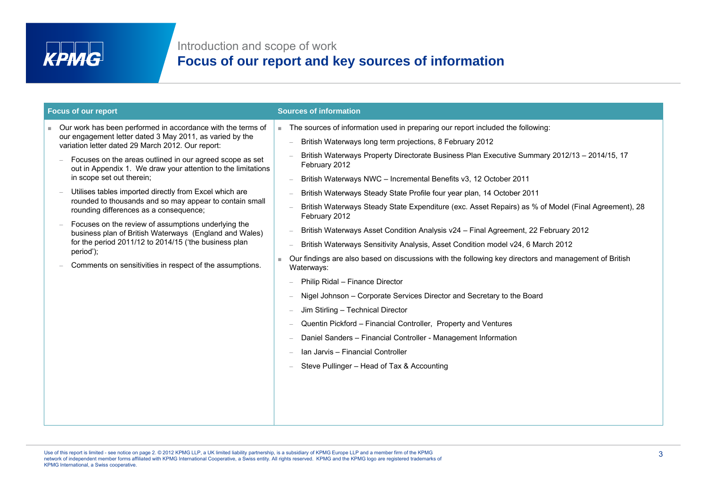

### Introduction and scope of work **Focus of our report and key sources of information**

| <b>Focus of our report</b>                                                                                               | <b>Sources of information</b>                                                                                             |
|--------------------------------------------------------------------------------------------------------------------------|---------------------------------------------------------------------------------------------------------------------------|
| Our work has been performed in accordance with the terms of<br>m.                                                        | The sources of information used in preparing our report included the following:<br>×.                                     |
| our engagement letter dated 3 May 2011, as varied by the<br>variation letter dated 29 March 2012. Our report:            | British Waterways long term projections, 8 February 2012                                                                  |
| Focuses on the areas outlined in our agreed scope as set<br>out in Appendix 1. We draw your attention to the limitations | British Waterways Property Directorate Business Plan Executive Summary 2012/13 - 2014/15, 17<br>February 2012             |
| in scope set out therein;                                                                                                | British Waterways NWC - Incremental Benefits v3, 12 October 2011                                                          |
| Utilises tables imported directly from Excel which are                                                                   | British Waterways Steady State Profile four year plan, 14 October 2011                                                    |
| rounded to thousands and so may appear to contain small<br>rounding differences as a consequence;                        | British Waterways Steady State Expenditure (exc. Asset Repairs) as % of Model (Final Agreement), 28<br>February 2012      |
| Focuses on the review of assumptions underlying the<br>business plan of British Waterways (England and Wales)            | British Waterways Asset Condition Analysis v24 – Final Agreement, 22 February 2012                                        |
| for the period 2011/12 to 2014/15 ('the business plan                                                                    | British Waterways Sensitivity Analysis, Asset Condition model v24, 6 March 2012                                           |
| period');<br>Comments on sensitivities in respect of the assumptions.                                                    | Our findings are also based on discussions with the following key directors and management of British<br>×.<br>Waterways: |
|                                                                                                                          | Philip Ridal - Finance Director                                                                                           |
|                                                                                                                          | Nigel Johnson - Corporate Services Director and Secretary to the Board                                                    |
|                                                                                                                          | Jim Stirling - Technical Director                                                                                         |
|                                                                                                                          | Quentin Pickford – Financial Controller, Property and Ventures                                                            |
|                                                                                                                          | Daniel Sanders - Financial Controller - Management Information                                                            |
|                                                                                                                          | Ian Jarvis - Financial Controller                                                                                         |
|                                                                                                                          | Steve Pullinger - Head of Tax & Accounting                                                                                |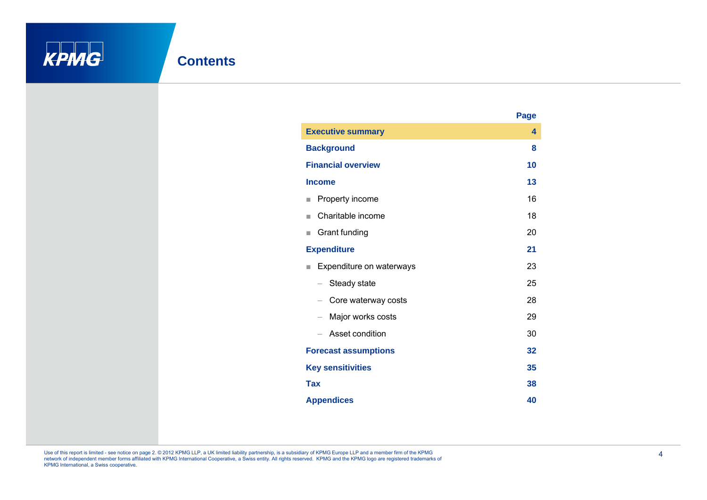

|                                                 | Page |  |
|-------------------------------------------------|------|--|
| <b>Executive summary</b>                        | 4    |  |
| <b>Background</b>                               | 8    |  |
| <b>Financial overview</b>                       | 10   |  |
| <b>Income</b>                                   | 13   |  |
| Property income<br>ш                            | 16   |  |
| Charitable income<br>ш                          | 18   |  |
| Grant funding<br>ш                              | 20   |  |
| <b>Expenditure</b>                              |      |  |
| Expenditure on waterways<br>ш                   | 23   |  |
| Steady state<br>$\qquad \qquad -$               | 25   |  |
| Core waterway costs<br>$\overline{\phantom{0}}$ | 28   |  |
| Major works costs<br>$\overline{\phantom{0}}$   | 29   |  |
| Asset condition                                 | 30   |  |
| <b>Forecast assumptions</b>                     | 32   |  |
| <b>Key sensitivities</b>                        | 35   |  |
| <b>Tax</b>                                      | 38   |  |
| <b>Appendices</b>                               | 40   |  |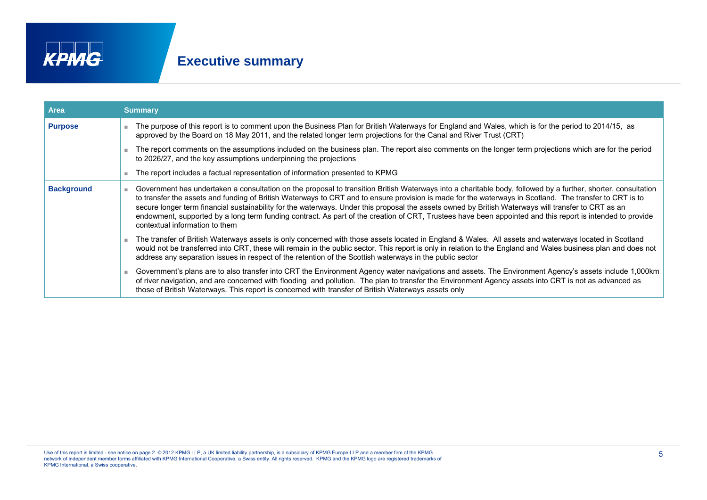| Area              |  | <b>Summary</b>                                                                                                                                                                                                                                                                                                                                                                                                                                                                                                                                                                                                                                                                 |
|-------------------|--|--------------------------------------------------------------------------------------------------------------------------------------------------------------------------------------------------------------------------------------------------------------------------------------------------------------------------------------------------------------------------------------------------------------------------------------------------------------------------------------------------------------------------------------------------------------------------------------------------------------------------------------------------------------------------------|
| <b>Purpose</b>    |  | The purpose of this report is to comment upon the Business Plan for British Waterways for England and Wales, which is for the period to 2014/15, as<br>approved by the Board on 18 May 2011, and the related longer term projections for the Canal and River Trust (CRT)                                                                                                                                                                                                                                                                                                                                                                                                       |
|                   |  | The report comments on the assumptions included on the business plan. The report also comments on the longer term projections which are for the period<br>to 2026/27, and the key assumptions underpinning the projections                                                                                                                                                                                                                                                                                                                                                                                                                                                     |
|                   |  | The report includes a factual representation of information presented to KPMG                                                                                                                                                                                                                                                                                                                                                                                                                                                                                                                                                                                                  |
| <b>Background</b> |  | Government has undertaken a consultation on the proposal to transition British Waterways into a charitable body, followed by a further, shorter, consultation<br>to transfer the assets and funding of British Waterways to CRT and to ensure provision is made for the waterways in Scotland. The transfer to CRT is to<br>secure longer term financial sustainability for the waterways. Under this proposal the assets owned by British Waterways will transfer to CRT as an<br>endowment, supported by a long term funding contract. As part of the creation of CRT, Trustees have been appointed and this report is intended to provide<br>contextual information to them |
|                   |  | The transfer of British Waterways assets is only concerned with those assets located in England & Wales. All assets and waterways located in Scotland<br>would not be transferred into CRT, these will remain in the public sector. This report is only in relation to the England and Wales business plan and does not<br>address any separation issues in respect of the retention of the Scottish waterways in the public sector                                                                                                                                                                                                                                            |
|                   |  | Government's plans are to also transfer into CRT the Environment Agency water navigations and assets. The Environment Agency's assets include 1,000km<br>of river navigation, and are concerned with flooding and pollution. The plan to transfer the Environment Agency assets into CRT is not as advanced as<br>those of British Waterways. This report is concerned with transfer of British Waterways assets only                                                                                                                                                                                                                                                          |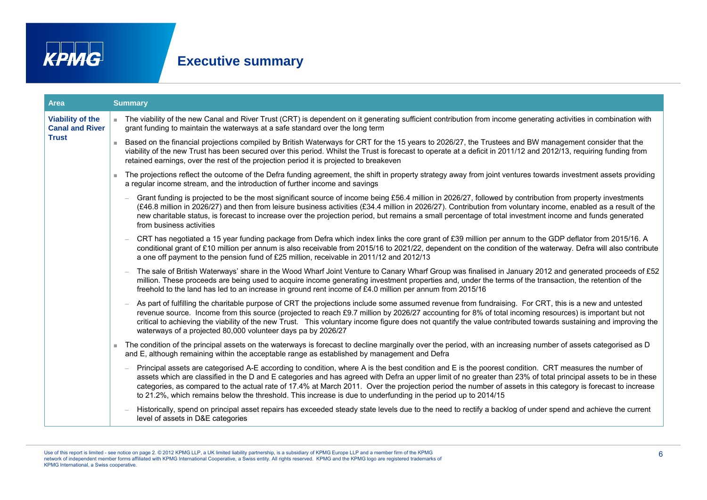

| <b>Area</b>                                       |   | <b>Summary</b>                                                                                                                                                                                                                                                                                                                                                                                                                                                                                                                                                                                          |
|---------------------------------------------------|---|---------------------------------------------------------------------------------------------------------------------------------------------------------------------------------------------------------------------------------------------------------------------------------------------------------------------------------------------------------------------------------------------------------------------------------------------------------------------------------------------------------------------------------------------------------------------------------------------------------|
| <b>Viability of the</b><br><b>Canal and River</b> |   | The viability of the new Canal and River Trust (CRT) is dependent on it generating sufficient contribution from income generating activities in combination with<br>grant funding to maintain the waterways at a safe standard over the long term                                                                                                                                                                                                                                                                                                                                                       |
| <b>Trust</b>                                      | × | Based on the financial projections compiled by British Waterways for CRT for the 15 years to 2026/27, the Trustees and BW management consider that the<br>viability of the new Trust has been secured over this period. Whilst the Trust is forecast to operate at a deficit in 2011/12 and 2012/13, requiring funding from<br>retained earnings, over the rest of the projection period it is projected to breakeven                                                                                                                                                                                   |
|                                                   | ٠ | The projections reflect the outcome of the Defra funding agreement, the shift in property strategy away from joint ventures towards investment assets providing<br>a regular income stream, and the introduction of further income and savings                                                                                                                                                                                                                                                                                                                                                          |
|                                                   |   | Grant funding is projected to be the most significant source of income being £56.4 million in 2026/27, followed by contribution from property investments<br>(£46.8 million in 2026/27) and then from leisure business activities (£34.4 million in 2026/27). Contribution from voluntary income, enabled as a result of the<br>new charitable status, is forecast to increase over the projection period, but remains a small percentage of total investment income and funds generated<br>from business activities                                                                                    |
|                                                   |   | CRT has negotiated a 15 year funding package from Defra which index links the core grant of £39 million per annum to the GDP deflator from 2015/16. A<br>conditional grant of £10 million per annum is also receivable from 2015/16 to 2021/22, dependent on the condition of the waterway. Defra will also contribute<br>a one off payment to the pension fund of £25 million, receivable in 2011/12 and 2012/13                                                                                                                                                                                       |
|                                                   |   | The sale of British Waterways' share in the Wood Wharf Joint Venture to Canary Wharf Group was finalised in January 2012 and generated proceeds of £52<br>million. These proceeds are being used to acquire income generating investment properties and, under the terms of the transaction, the retention of the<br>freehold to the land has led to an increase in ground rent income of £4.0 million per annum from 2015/16                                                                                                                                                                           |
|                                                   |   | As part of fulfilling the charitable purpose of CRT the projections include some assumed revenue from fundraising. For CRT, this is a new and untested<br>revenue source. Income from this source (projected to reach £9.7 million by 2026/27 accounting for 8% of total incoming resources) is important but not<br>critical to achieving the viability of the new Trust. This voluntary income figure does not quantify the value contributed towards sustaining and improving the<br>waterways of a projected 80,000 volunteer days pa by 2026/27                                                    |
|                                                   |   | The condition of the principal assets on the waterways is forecast to decline marginally over the period, with an increasing number of assets categorised as D<br>and E, although remaining within the acceptable range as established by management and Defra                                                                                                                                                                                                                                                                                                                                          |
|                                                   |   | Principal assets are categorised A-E according to condition, where A is the best condition and E is the poorest condition. CRT measures the number of<br>assets which are classified in the D and E categories and has agreed with Defra an upper limit of no greater than 23% of total principal assets to be in these<br>categories, as compared to the actual rate of 17.4% at March 2011. Over the projection period the number of assets in this category is forecast to increase<br>to 21.2%, which remains below the threshold. This increase is due to underfunding in the period up to 2014/15 |
|                                                   |   | Historically, spend on principal asset repairs has exceeded steady state levels due to the need to rectify a backlog of under spend and achieve the current<br>level of assets in D&E categories                                                                                                                                                                                                                                                                                                                                                                                                        |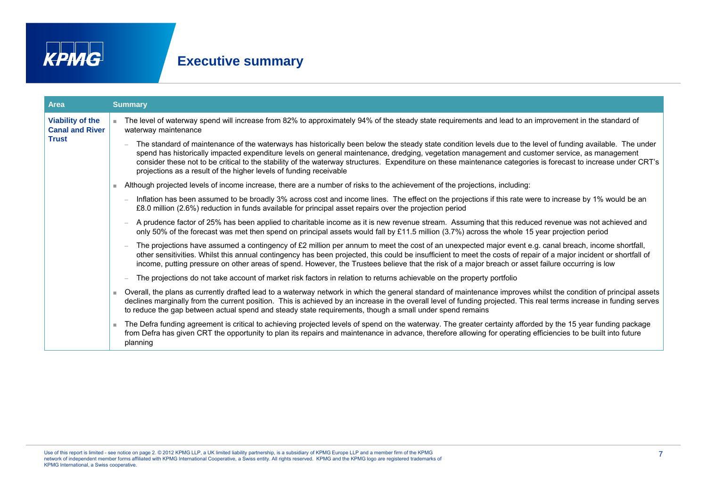| Area                                              |  | <b>Summary</b>                                                                                                                                                                                                                                                                                                                                                                                                                                                                                                                                        |
|---------------------------------------------------|--|-------------------------------------------------------------------------------------------------------------------------------------------------------------------------------------------------------------------------------------------------------------------------------------------------------------------------------------------------------------------------------------------------------------------------------------------------------------------------------------------------------------------------------------------------------|
| <b>Viability of the</b><br><b>Canal and River</b> |  | The level of waterway spend will increase from 82% to approximately 94% of the steady state requirements and lead to an improvement in the standard of<br>waterway maintenance                                                                                                                                                                                                                                                                                                                                                                        |
| <b>Trust</b>                                      |  | The standard of maintenance of the waterways has historically been below the steady state condition levels due to the level of funding available. The under<br>spend has historically impacted expenditure levels on general maintenance, dredging, vegetation management and customer service, as management<br>consider these not to be critical to the stability of the waterway structures. Expenditure on these maintenance categories is forecast to increase under CRT's<br>projections as a result of the higher levels of funding receivable |
|                                                   |  | Although projected levels of income increase, there are a number of risks to the achievement of the projections, including:                                                                                                                                                                                                                                                                                                                                                                                                                           |
|                                                   |  | Inflation has been assumed to be broadly 3% across cost and income lines. The effect on the projections if this rate were to increase by 1% would be an<br>£8.0 million (2.6%) reduction in funds available for principal asset repairs over the projection period                                                                                                                                                                                                                                                                                    |
|                                                   |  | A prudence factor of 25% has been applied to charitable income as it is new revenue stream. Assuming that this reduced revenue was not achieved and<br>only 50% of the forecast was met then spend on principal assets would fall by £11.5 million (3.7%) across the whole 15 year projection period                                                                                                                                                                                                                                                  |
|                                                   |  | The projections have assumed a contingency of £2 million per annum to meet the cost of an unexpected major event e.g. canal breach, income shortfall,<br>other sensitivities. Whilst this annual contingency has been projected, this could be insufficient to meet the costs of repair of a major incident or shortfall of<br>income, putting pressure on other areas of spend. However, the Trustees believe that the risk of a major breach or asset failure occurring is low                                                                      |
|                                                   |  | The projections do not take account of market risk factors in relation to returns achievable on the property portfolio                                                                                                                                                                                                                                                                                                                                                                                                                                |
|                                                   |  | Overall, the plans as currently drafted lead to a waterway network in which the general standard of maintenance improves whilst the condition of principal assets<br>declines marginally from the current position. This is achieved by an increase in the overall level of funding projected. This real terms increase in funding serves<br>to reduce the gap between actual spend and steady state requirements, though a small under spend remains                                                                                                 |
|                                                   |  | The Defra funding agreement is critical to achieving projected levels of spend on the waterway. The greater certainty afforded by the 15 year funding package<br>from Defra has given CRT the opportunity to plan its repairs and maintenance in advance, therefore allowing for operating efficiencies to be built into future<br>planning                                                                                                                                                                                                           |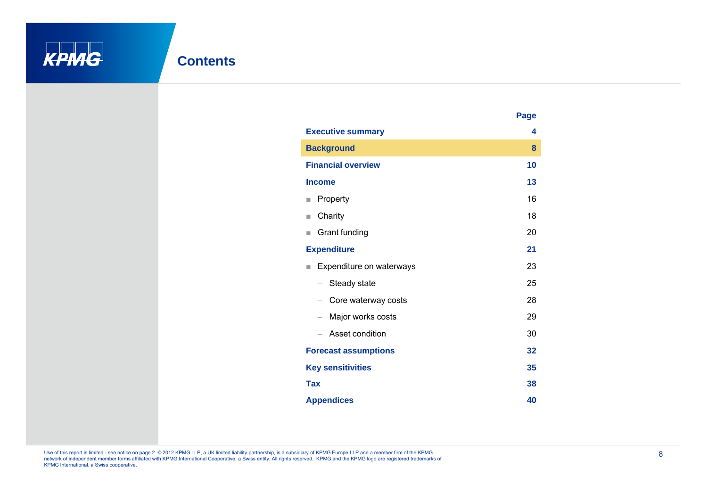

| <b>Executive summary</b>                    |    |  |  |  |  |
|---------------------------------------------|----|--|--|--|--|
| <b>Background</b>                           | 8  |  |  |  |  |
| <b>Financial overview</b>                   | 10 |  |  |  |  |
| <b>Income</b>                               | 13 |  |  |  |  |
| Property<br>ш                               | 16 |  |  |  |  |
| Charity<br>ш                                | 18 |  |  |  |  |
| Grant funding<br>$\overline{\phantom{a}}$   | 20 |  |  |  |  |
| <b>Expenditure</b>                          | 21 |  |  |  |  |
| Expenditure on waterways<br>ш               | 23 |  |  |  |  |
| Steady state<br>$\overline{\phantom{0}}$    | 25 |  |  |  |  |
| Core waterway costs<br>$\qquad \qquad -$    | 28 |  |  |  |  |
| Major works costs                           | 29 |  |  |  |  |
| Asset condition<br>$\overline{\phantom{0}}$ | 30 |  |  |  |  |
| <b>Forecast assumptions</b>                 | 32 |  |  |  |  |
| <b>Key sensitivities</b>                    |    |  |  |  |  |
| <b>Tax</b>                                  | 38 |  |  |  |  |
| <b>Appendices</b>                           |    |  |  |  |  |

**Page**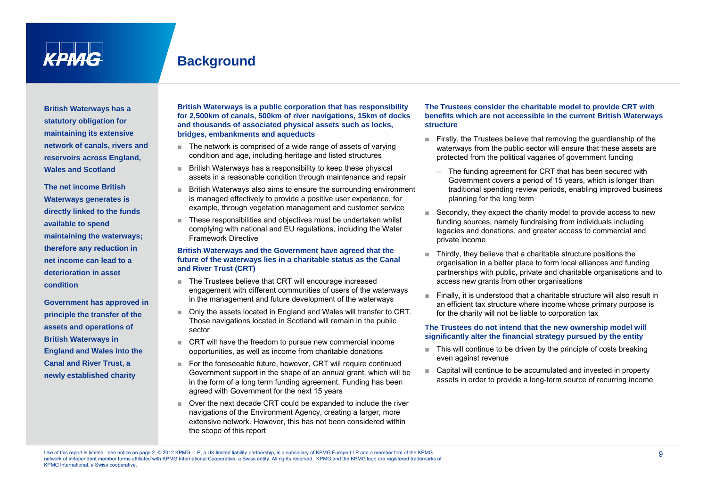

**British Waterways has a statutory obligation for maintaining its extensive network of canals, rivers and reservoirs across England, Wales and Scotland**

**The net income British Waterways generates is directly linked to the funds available to spend maintaining the waterways; therefore any reduction in net income can lead to a deterioration in asset condition**

**Government has approved in principle the transfer of the assets and operations of British Waterways in England and Wales into the Canal and River Trust a**

**British Waterways is a public corporation that has responsibility for 2,500km of canals, 500km of river navigations, 15km of docks and thousands of associated physical assets such as locks, bridges, embankments and aqueducts**

- The network is comprised of a wide range of assets of varying condition and age, including heritage and listed structures
- British Waterways has a responsibility to keep these physical assets in a reasonable condition through maintenance and repair
- British Waterways also aims to ensure the surrounding environment is managed effectively to provide a positive user experience, for example, through vegetation management and customer service
- These responsibilities and objectives must be undertaken whilst complying with national and EU regulations, including the Water Framework Directive

#### **British Waterways and the Government have agreed that the future of the waterways lies in a charitable status as the Canal and River Trust (CRT)**

- The Trustees believe that CRT will encourage increased engagement with different communities of users of the waterways **pproved in** in the management and future development of the waterways and finding, it is
	- Only the assets located in England and Wales will transfer to CRT. Those navigations located in Scotland will remain in the public sector
	- CRT will have the freedom to pursue new commercial income opportunities, as well as income from charitable donations
- even against revenue<br> **Canal and River Trust, a Example 1999** For the foreseeable future, however, CRT will require continued<br> **Example 1999** For the stablished charity stablished charity and the stablished charity of t Government support in the shape of an annual grant, which will be in the form of a long term funding agreement. Funding has been agreed with Government for the next 15 years
	- Over the next decade CRT could be expanded to include the river navigations of the Environment Agency, creating a larger, more extensive network. However, this has not been considered within the scope of this report

#### **The Trustees consider the charitable model to provide CRT with benefits which are not accessible in the current British Waterways structure**

- **g** its extensive strate in the bridges, embankments and aqueducts strate and the control and the puardianship of the<br>■ Firstly, the Trustees believe that removing the guardianship of the waterways from the public sector will ensure that these assets are protected from the political vagaries of government funding
	- The funding agreement for CRT that has been secured with Government covers a period of 15 years, which is longer than traditional spending review periods, enabling improved business planning for the long term
	- ■ Secondly, they expect the charity model to provide access to new funding sources, namely fundraising from individuals including legacies and donations, and greater access to commercial and private income
	- Thirdly, they believe that a charitable structure positions the organisation in a better place to form local alliances and funding partnerships with public, private and charitable organisations and to access new grants from other organisations
	- ■ Finally, it is understood that a charitable structure will also result in n efficient tax structure where income whose primary purpose is for the charity will not be liable to corporation tax

#### **The Trustees do not intend that the new ownership model will significantly alter the financial strategy pursued by the entity**

- $\blacksquare$  This will continue to be driven by the principle of costs breaking
- ■ Capital will continue to be accumulated and invested in property assets in order to provide a long-term source of recurring income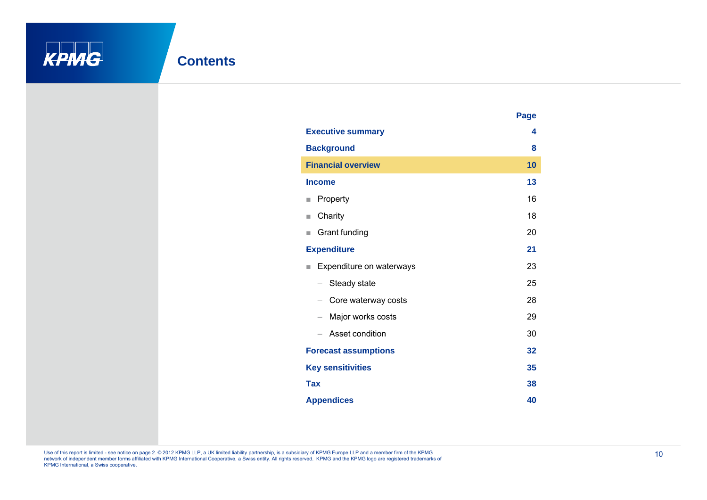

|                                                 | Page |
|-------------------------------------------------|------|
| <b>Executive summary</b>                        | 4    |
| <b>Background</b>                               | 8    |
| <b>Financial overview</b>                       | 10   |
| <b>Income</b>                                   | 13   |
| Property<br>ш                                   | 16   |
| Charity<br>ш                                    | 18   |
| Grant funding<br>٠                              | 20   |
| <b>Expenditure</b>                              | 21   |
| Expenditure on waterways<br>ш                   | 23   |
| Steady state<br>$\overline{\phantom{0}}$        | 25   |
| Core waterway costs<br>$\overline{\phantom{0}}$ | 28   |
| Major works costs<br>$\overline{\phantom{0}}$   | 29   |
| Asset condition<br>$\overline{\phantom{0}}$     | 30   |
| <b>Forecast assumptions</b>                     | 32   |
| <b>Key sensitivities</b>                        | 35   |
| Tax                                             | 38   |
| <b>Appendices</b>                               | 40   |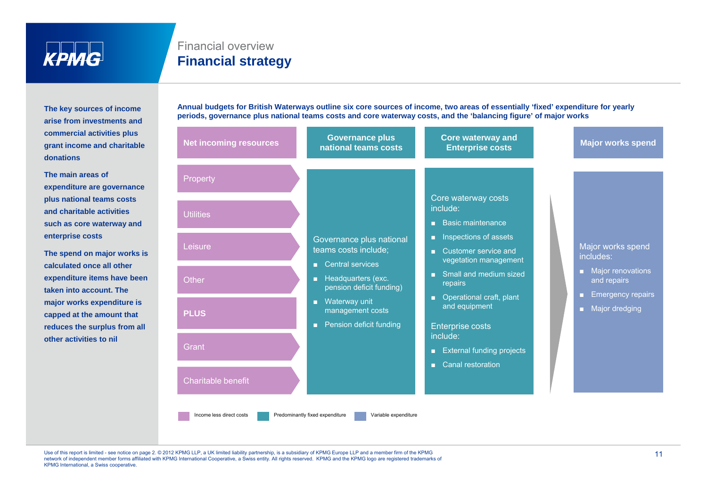

### Financial overview**Financial strategy**

**The key sources of income arise from investments and commercial activities plus grant income and charitable donations**

| commercial activities plus<br>grant income and charitable<br>donations                                            | <b>Net incoming resources</b> | <b>Governance plus</b><br>national teams costs                                                                    | <b>Core waterway and</b><br><b>Enterprise costs</b>                                                  | <b>Major works spend</b>                                                                |
|-------------------------------------------------------------------------------------------------------------------|-------------------------------|-------------------------------------------------------------------------------------------------------------------|------------------------------------------------------------------------------------------------------|-----------------------------------------------------------------------------------------|
| The main areas of<br>expenditure are governance<br>plus national teams costs<br>and charitable activities         | Property<br><b>Utilities</b>  |                                                                                                                   | Core waterway costs<br>include:                                                                      |                                                                                         |
| such as core waterway and<br>enterprise costs<br>The spend on major works is                                      | Leisure<br>Other              | Governance plus national<br>teams costs include;                                                                  | <b>Basic maintenance</b><br>Inspections of assets<br>■ Customer service and<br>vegetation management | Major works spend<br>includes:                                                          |
| calculated once all other<br>expenditure items have been<br>taken into account. The<br>major works expenditure is |                               | Central services<br>$\blacksquare$ Headquarters (exc.<br>pension deficit funding)<br>$\blacksquare$ Waterway unit | Small and medium sized<br>repairs<br>• Operational craft, plant<br>and equipment                     | • Major renovations<br>and repairs<br><b>Emergency repairs</b><br><b>Major dredging</b> |
| capped at the amount that<br>reduces the surplus from all<br>other activities to nil                              | <b>PLUS</b><br>Grant          | management costs<br>Pension deficit funding                                                                       | <b>Enterprise costs</b><br>include:<br>External funding projects                                     |                                                                                         |
|                                                                                                                   | <b>Charitable benefit</b>     |                                                                                                                   | ■ Canal restoration                                                                                  |                                                                                         |

**Annual budgets for British Waterways outline six core sources of income, two areas of essentially 'fixed' expenditure for yearly periods, governance plus national teams costs and core waterway costs, and the 'balancing figure' of major works**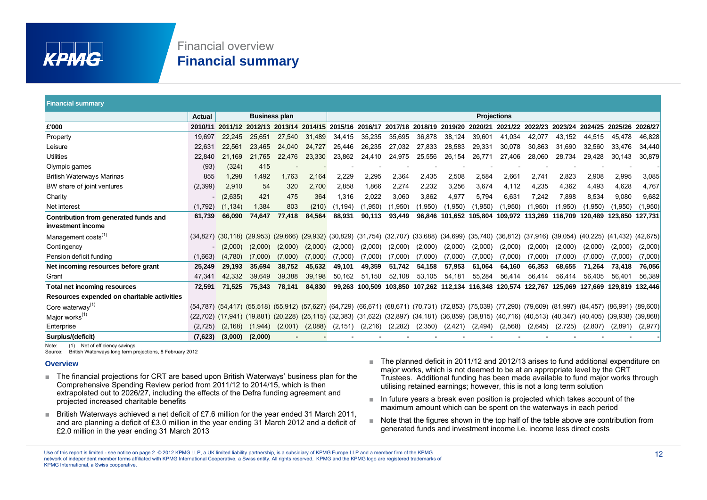

### Financial overview**Financial summary**

| <b>Financial summary</b>                    |                          |                       |                                                                                                                                                          |         |          |                    |         |         |         |                                                                         |          |                 |         |         |         |         |                            |
|---------------------------------------------|--------------------------|-----------------------|----------------------------------------------------------------------------------------------------------------------------------------------------------|---------|----------|--------------------|---------|---------|---------|-------------------------------------------------------------------------|----------|-----------------|---------|---------|---------|---------|----------------------------|
|                                             | <b>Actual</b>            |                       | <b>Business plan</b>                                                                                                                                     |         |          | <b>Projections</b> |         |         |         |                                                                         |          |                 |         |         |         |         |                            |
| £'000                                       | 2010/11                  | 2011/12               | 2012/13                                                                                                                                                  | 2013/14 | 2014/15  | 2015/16            | 2016/17 | 2017/18 | 2018/19 | 2019/20                                                                 | 2020/21  | 2021/22         | 2022/23 | 2023/24 | 2024/25 | 2025/26 | 2026/27                    |
| Property                                    | 19,697                   | 22,245                | 25.651                                                                                                                                                   | 27,540  | 31.489   | 34,415             | 35.235  | 35,695  | 36,878  | 38,124                                                                  | 39,601   | 41,034          | 42,077  | 43,152  | 44,515  | 45,478  | 46,828                     |
| Leisure                                     | 22,631                   | 22.561                | 23.465                                                                                                                                                   | 24.040  | 24.727   | 25,446             | 26.235  | 27.032  | 27.833  | 28,583                                                                  | 29.331   | 30,078          | 30.863  | 31.690  | 32.560  | 33.476  | 34,440                     |
| <b>Utilities</b>                            | 22,840                   | 21.169                | 21.765                                                                                                                                                   | 22,476  | 23,330   | 23,862             | 24,410  | 24,975  | 25,556  | 26,154                                                                  | 26,771   | 27,406          | 28,060  | 28,734  | 29,428  | 30,143  | 30,879                     |
| Olympic games                               | (93)                     | (324)                 | 415                                                                                                                                                      |         |          |                    |         |         |         |                                                                         |          |                 |         |         |         |         |                            |
| <b>British Waterways Marinas</b>            | 855                      | 1,298                 | 1.492                                                                                                                                                    | 1,763   | 2,164    | 2,229              | 2,295   | 2,364   | 2,435   | 2,508                                                                   | 2,584    | 2,661           | 2,741   | 2,823   | 2,908   | 2,995   | 3,085                      |
| BW share of joint ventures                  | (2,399)                  | 2,910                 | 54                                                                                                                                                       | 320     | 2,700    | 2,858              | 1,866   | 2,274   | 2,232   | 3,256                                                                   | 3,674    | 4,112           | 4,235   | 4,362   | 4.493   | 4,628   | 4,767                      |
| Charity                                     |                          | (2,635)               | 421                                                                                                                                                      | 475     | 364      | 1,316              | 2,022   | 3,060   | 3,862   | 4,977                                                                   | 5.794    | 6,631           | 7,242   | 7.898   | 8,534   | 9,080   | 9,682                      |
| Net interest                                | (1,792)                  | (1, 134)              | 1,384                                                                                                                                                    | 803     | (210)    | (1.194)            | (1,950) | (1,950) | (1,950) | (1.950)                                                                 | (1,950)  | (1,950)         | (1,950) | (1.950) | (1,950) | (1.950) | (1,950)                    |
| Contribution from generated funds and       | 61,739                   | 66,090                | 74,647                                                                                                                                                   | 77,418  | 84,564   | 88,931             | 90.113  | 93.449  | 96,846  | 101.652                                                                 | 105,804  | 109,972         | 113,269 | 116,709 | 120.489 | 123,850 | 127,731                    |
| investment income                           |                          |                       |                                                                                                                                                          |         |          |                    |         |         |         |                                                                         |          |                 |         |         |         |         |                            |
| Management costs <sup>(1)</sup>             |                          | $(34,827)$ $(30,118)$ | $(29.953)$ $(29.666)$                                                                                                                                    |         | (29.932) | (30, 829)          |         |         |         | (31,754) (32,707) (33,688) (34,699) (35,740) (36,812) (37,916) (39,054) |          |                 |         |         |         |         | (40,225) (41,432) (42,675) |
| Contingency                                 | $\overline{\phantom{0}}$ | (2,000)               | (2,000)                                                                                                                                                  | (2,000) | (2,000)  | (2,000)            | (2,000) | (2,000) | (2,000) | (2,000)                                                                 | (2,000)  | (2,000)         | (2,000) | (2,000) | (2,000) | (2,000) | (2,000)                    |
| Pension deficit funding                     | (1,663)                  | (4,780)               | (7,000)                                                                                                                                                  | (7.000) | (7,000)  | (7,000)            | (7,000) | (7,000) | (7,000) | (7,000)                                                                 | (7,000)  | (7,000)         | (7,000) | (7,000) | (7,000) | (7,000) | (7,000)                    |
| Net incoming resources before grant         | 25,249                   | 29,193                | 35,694                                                                                                                                                   | 38,752  | 45,632   | 49,101             | 49,359  | 51,742  | 54,158  | 57,953                                                                  | 61,064   | 64,160          | 66,353  | 68,655  | 71,264  | 73,418  | 76,056                     |
| Grant                                       | 47,341                   | 42.332                | 39,649                                                                                                                                                   | 39.388  | 39,198   | 50.162             | 51.150  | 52,108  | 53.105  | 54,181                                                                  | 55.284   | 56,414          | 56.414  | 56.414  | 56.405  | 56.401  | 56,389                     |
| Total net incoming resources                | 72,591                   | 71,525                | 75,343                                                                                                                                                   | 78.141  | 84,830   | 99,263             | 100.509 | 103,850 |         | 107,262 112,134                                                         |          | 116,348 120,574 | 122,767 | 125,069 | 127,669 | 129,819 | 132,446                    |
| Resources expended on charitable activities |                          |                       |                                                                                                                                                          |         |          |                    |         |         |         |                                                                         |          |                 |         |         |         |         |                            |
| Core waterway <sup>(1)</sup>                |                          |                       | (54,417) (55,518) (55,912) (67,627) (64,729) (66,671) (68,671) (70,731) (72,853) (75,039) (77,290) (79,609) (81,997) (84,457) (86,991) (89,600)          |         |          |                    |         |         |         |                                                                         |          |                 |         |         |         |         |                            |
| Major works <sup>(1)</sup>                  |                          |                       | (22,702) (17,941) (19,881) (20,228) (25,115) (32,383) (31,622) (32,897) (34,181) (36,859) (38,815) (40,716) (40,513) (40,347) (40,405) (39,938) (39,868) |         |          |                    |         |         |         |                                                                         |          |                 |         |         |         |         |                            |
| Enterprise                                  | (2,725)                  | (2, 168)              | (1,944)                                                                                                                                                  | (2,001) | (2,088)  | (2, 151)           | (2,216) | (2,282) | (2,350) | (2, 421)                                                                | (2, 494) | (2,568)         | (2,645) | (2.725) | (2,807) | (2,891) | (2,977)                    |
| Surplus/(deficit)                           | (7,623)                  | (3,000)               | (2,000)                                                                                                                                                  |         |          |                    |         |         |         |                                                                         |          |                 |         |         |         |         |                            |

Note: (1) Net of efficiency savings

Source: British Waterways long term projections, 8 February 2012

#### **Overview**

- ■ The financial projections for CRT are based upon British Waterways' business plan for the Comprehensive Spending Review period from 2011/12 to 2014/15, which is then extrapolated out to 2026/27, including the effects of the Defra funding agreement and projected increased charitable benefits
- ■ British Waterways achieved a net deficit of £7.6 million for the year ended 31 March 2011, and are planning a deficit of £3.0 million in the year ending 31 March 2012 and a deficit of £2.0 million in the year ending 31 March 2013
- $\blacksquare$  The planned deficit in 2011/12 and 2012/13 arises to fund additional expenditure on major works, which is not deemed to be at an appropriate level by the CRT Trustees. Additional funding has been made available to fund major works through utilising retained earnings; however, this is not a long term solution
	- In future years a break even position is projected which takes account of the maximum amount which can be spent on the waterways in each period
	- Note that the figures shown in the top half of the table above are contribution from generated funds and investment income i.e. income less direct costs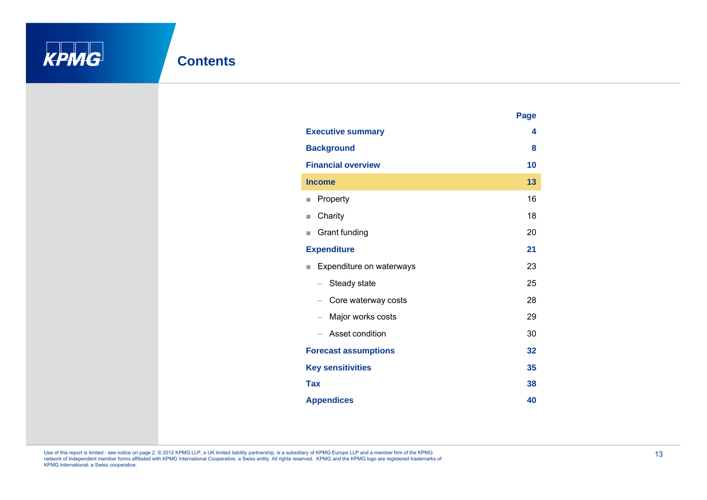

|                                                 | Page |  |  |  |
|-------------------------------------------------|------|--|--|--|
| <b>Executive summary</b>                        |      |  |  |  |
| <b>Background</b>                               | 8    |  |  |  |
| <b>Financial overview</b>                       | 10   |  |  |  |
| <b>Income</b>                                   | 13   |  |  |  |
| Property<br>п                                   | 16   |  |  |  |
| Charity<br>ш                                    | 18   |  |  |  |
| Grant funding<br>ш                              | 20   |  |  |  |
| <b>Expenditure</b>                              | 21   |  |  |  |
| Expenditure on waterways<br>ш                   | 23   |  |  |  |
| Steady state<br>$\qquad \qquad -$               | 25   |  |  |  |
| Core waterway costs<br>$\overline{\phantom{0}}$ | 28   |  |  |  |
| Major works costs<br>$\overline{\phantom{m}}$   | 29   |  |  |  |
| Asset condition                                 | 30   |  |  |  |
| <b>Forecast assumptions</b>                     | 32   |  |  |  |
| <b>Key sensitivities</b>                        | 35   |  |  |  |
| Tax                                             | 38   |  |  |  |
| <b>Appendices</b>                               | 40   |  |  |  |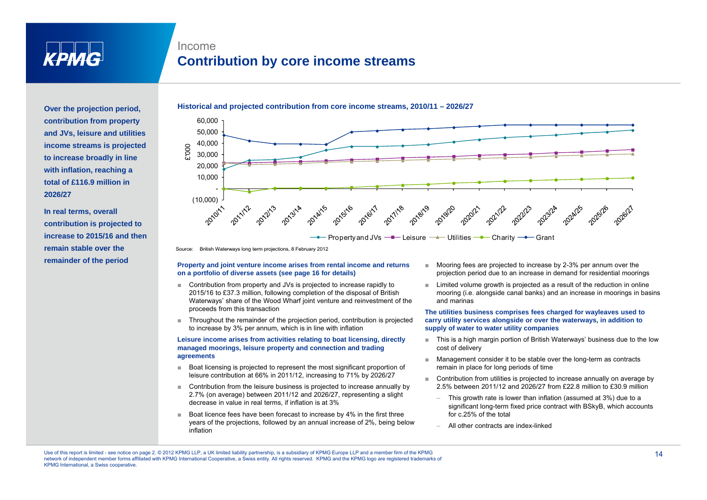

### Income**Contribution by core income streams**

**Over the projection period, contribution from property and JVs, leisure and utilities , income streams is projected to increase broadly in line with inflation, reaching a total of £116.9 million in 2026/27**

**In real terms, overall contribution is projected to increase to 2015/16 and then remain stable over the**



**n stable over the** source: British Waterways long term projections, 8 February 2012

#### **remainder of the period Property and joint venture income arises from rental income and returns on a portfolio of diverse assets (see page 16 for details)**

- Contribution from property and JVs is projected to increase rapidly to 2015/16 to £37.3 million, following completion of the disposal of British Waterways' share of the Wood Wharf joint venture and reinvestment of the proceeds from this transaction
- Throughout the remainder of the projection period, contribution is projected to increase by 3% per annum, which is in line with inflation

#### **Leisure income arises from activities relating to boat licensing, directly managed moorings, leisure property and connection and trading agreements**

- ■ Boat licensing is projected to represent the most significant proportion of leisure contribution at 66% in 2011/12, increasing to 71% by 2026/27
- Contribution from the leisure business is projected to increase annually by 2.7% (on average) between 2011/12 and 2026/27, representing a slight decrease in value in real terms, if inflation is at 3%
- Boat licence fees have been forecast to increase by 4% in the first three years of the projections, followed by an annual increase of 2%, being below inflation
- ■ Mooring fees are projected to increase by 2-3% per annum over the projection period due to an increase in demand for residential moorings
- ■ Limited volume growth is projected as a result of the reduction in online mooring (i.e. alongside canal banks) and an increase in moorings in basins and marinas

#### **The utilities business comprises fees charged for wayleaves used to carry utility services alongside or over the waterways, in addition to supply of water to water utility companies**

- ■ This is a high margin portion of British Waterways' business due to the low cost of delivery
- ■ Management consider it to be stable over the long-term as contracts remain in place for long periods of time
- Contribution from utilities is projected to increase annually on average by 2.5% between 2011/12 and 2026/27 from £22.8 million to £30.9 million
	- This growth rate is lower than inflation (assumed at 3%) due to a significant long-term fixed price contract with BSkyB, which accounts for c.25% of the total
	- All other contracts are index-linked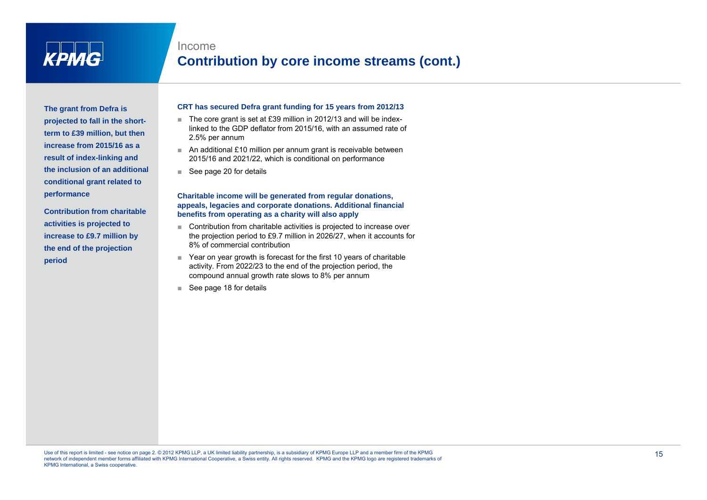

### Income**Contribution by core income streams (cont.)**

**The grant from Defra is projected to fall in the shortterm to £39 million, but then** 2.5%**, increase from 2015/16 as a result of index-linking and the inclusion of an additional conditional grant related to**  performance

**Contribution from charitable activities is projected to increase to £9.7 million by the end of the projection period**

#### **CRT has secured Defra grant funding for 15 years from 2012/13**

- The core grant is set at £39 million in 2012/13 and will be indexlinked to the GDP deflator from 2015/16, with an assumed rate of 2 5% per annum
- An additional £10 million per annum grant is receivable between 2015/16 and 2021/22, which is conditional on performance
- See page 20 for details

#### **Charitable income will be generated from regular donations, appeals, legacies and corporate donations. Additional financial benefits from operating as a charity will also apply**

- Contribution from charitable activities is projected to increase over the projection period to £9.7 million in 2026/27, when it accounts for 8% of commercial contribution
- Year on year growth is forecast for the first 10 years of charitable activity. From 2022/23 to the end of the projection period, the compound annual growth rate slows to 8% per annum
- See page 18 for details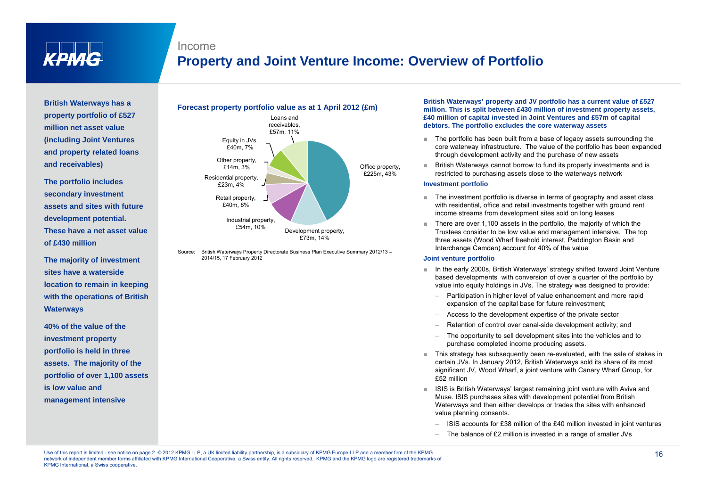## **Property and Joint Venture Income: Overview of Portfolio**

**British Waterways has a property portfolio of £527 million net asset value(including Joint Ventures and property related loans and receivables)**

Income

**The portfolio includes secondary investment assets and sites with future development potential. These have a net asset value of £430 million**

**The majority of investment sites have a waterside location to remain in keeping with the operations of British Waterways**

**40% of the value of the investment property portfolio is held in three assets The majority of the portfolio of over 1,100 assets is low value and management intensive**



Source: British Waterways Property Directorate Business Plan Executive Summary 2012/13 – 2014/15, 17 February 2012

**British Waterways' property and JV portfolio has a current value of £527 million. This is split between £430 million of investment property assets, £40 million of capital invested in Joint Ventures and £57m of capital debtors. The portfolio excludes the core waterway assets**

- $\blacksquare$  The portfolio has been built from a base of legacy assets surrounding the ■core waterway infrastructure. The value of the portfolio has been expanded through development activity and the purchase of new assets
- British Waterways cannot borrow to fund its property investments and is restricted to purchasing assets close to the waterways network

#### **Investment portfolio**

- ■ The investment portfolio is diverse in terms of geography and asset class with residential, office and retail investments together with ground rent income streams from development sites sold on long leases
- ■ There are over 1,100 assets in the portfolio, the majority of which the Trustees consider to be low value and management intensive. The top three assets (Wood Wharf freehold interest, Paddington Basin and Interchange Camden) account for 40% of the value

#### **Joint venture portfolio**

- In the early 2000s, British Waterways' strategy shifted toward Joint Venture based developments with conversion of over a quarter of the portfolio by value into equity holdings in JVs. The strategy was designed to provide:
	- Participation in higher level of value enhancement and more rapid expansion of the capital base for future reinvestment;<br>Access to the development expertise of the private so
	- Access to the development expertise of the private sector
	- Retention of control over canal-side development activity; and
	- The opportunity to sell development sites into the vehicles and to purchase completed income producing assets.
- This strategy has subsequently been re-evaluated, with the sale of stakes in s. The maiority of the **certain JVs In January 2012**, British Waterways sold its share of its most **share of its most and the solution** of the certain JVs. In January 2012, British Waterways sold its share of its most significant JV, Wood Wharf, a joint venture with Canary Wharf Group, for £52 million
	- ■ ISIS is British Waterways' largest remaining joint venture with Aviva and Muse. ISIS purchases sites with development potential from British Waterways and then either develops or trades the sites with enhanced value planning consents.
		- ISIS accounts for £38 million of the £40 million invested in joint ventures
		- The balance of £2 million is invested in a range of smaller JVs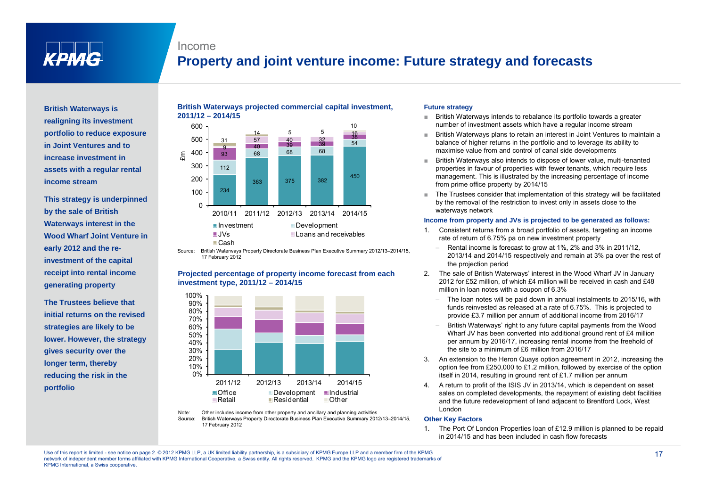

### Income

£m

## **Property and joint venture income: Future strategy and forecasts**

**British Waterways is realigning its investment portfolio to reduce ex posure p p in Joint Ventures and to increase investment in assets with a regular rental income stream**

**This strategy is underpinned by the sale of British Waterways interest in the Wood Wharf Joint Venture in early 2012 and the re- re investment of the capital receipt into rental income generating property**

**The Trustees believe that initial returns on the revised strategies are likely to be lower. However, the strategy gives security over the longer term thereby the risk in the risk in the portfolio**

#### **British Waterways projected commercial capital investment, 2011/12 – 2014/15**



17 February 2012

#### **Projected percentage of property income forecast from each investment type, 2011/12 – 2014/15**



Note: Other includes income from other property and ancillary and planning activities

Source: British Waterways Property Directorate Business Plan Executive Summary 2012/13–2014/15 2012/13 2014/15, 17 February 2012

#### **Future strategy**

- British Waterways intends to rebalance its portfolio towards a greater number of investment assets which have a regular income stream
- ■■ British Waterways plans to retain an interest in Joint Ventures to maintain a balance of higher returns in the portfolio and to leverage its ability to maximise value from and control of canal side developments
- British Waterways also intends to dispose of lower value, multi-tenanted properties in favour of properties with fewer tenants, which require less management. This is illustrated by the increasing percentage of income from prime office property by 2014/15
- The Trustees consider that implementation of this strategy will be facilitated<br>by the removal of the restriction to invest only in assets close to the ■waterways network

#### **Income from property and JVs is projected to be generated as follows:**

- 1. Consistent returns from a broad portfolio of assets, targeting an income rate of return of 6.75% pa on new investment property
- Source: British Waterways Property Directorate Business Plan Executive Summary 2012/13–2014/15,  $-$  Rental income is forecast to grow at 1%, 2% and 3% in 2011/12, Rental income is forecast to grow at 1%, 2% and 3% in 2011/12 2013/14 and 2014/15 respectively and remain at 3% pa over the rest of the projection period
	- 2. The sale of British Waterways' interest in the Wood Wharf JV in January 2012 for £52 million, of which £4 million will be received in cash and £48 million in loan notes with a coupon of 6.3%
		- – The loan notes will be paid down in annual instalments to 2015/16, with funds reinvested as released at a rate of 6.75%. This is projected to provide £3.7 million per annum of additional income from 2016/17
		- British Waterways' right to any future capital payments from the Wood Wharf JV has been converted into additional ground rent of £4 million per annum by 2016/17, increasing rental income from the freehold of the site to a minimum of £6 million from 2016/17
	- 3. An extension to the Heron Quays option agreement in 2012, increasing the option fee from £250,000 to £1.2 million, followed by exercise of the option itself in 2014, resulting in ground rent of £1.7 million per annum
	- 4. A return to profit of the ISIS JV in 2013/14, which is dependent on asset sales on completed developments, the repayment of existing debt facilities and the future redevelopment of land adjacent to Brentford Lock, West London

#### **Other Key Factors**

1. The Port Of London Properties loan of £12.9 million is planned to be repaid in 2014/15 and has been included in cash flow forecasts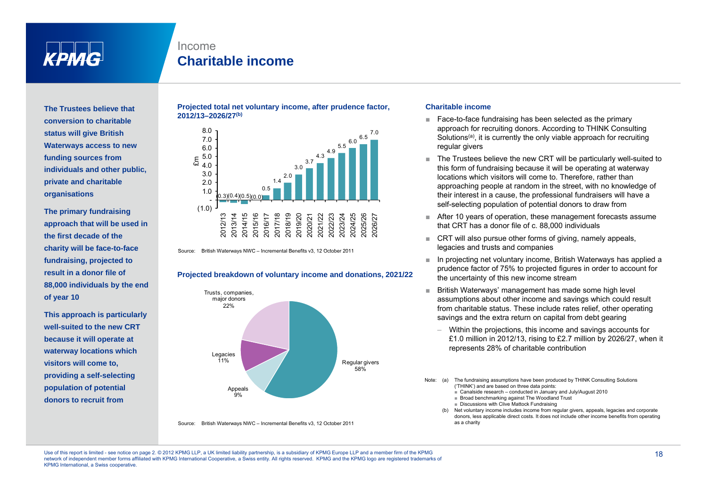

### Income**Charitable income**

**The Trustees believe that conversion to charitable status will give British g Waterways access to new funding sources from individuals and other public, private and charitable organisations**

**The primary fundraising approach that will be used in the first decade of the charity will be face-to-face will face to**fundraising, projected to **result in a donor file of 88,000 individuals by the end of year 10**

**This approach is particularly well-suited to the new CRT because it will operate at waterway locations which visitors will come to to, providing a self-selecting population of potential donors to recruit from**

#### **Projected total net voluntary income, after prudence factor, 2012/13–2026/27(b)**



Source: British Waterways NWC – Incremental Benefits v3. 12 October 2011 **Started as a series and server and serve**<br>Source: British Waterways NWC – Incremental Benefits v3. 12 October 2011

#### **Projected breakdown of voluntary income and donations, 2021/22**



Source: British Waterways NWC – Incremental Benefits v3, 12 October 2011 **as a charity** as a charity

#### **Charitable income**

- Face-to-face fundraising has been selected as the primary approach for recruiting donors. According to THINK Consulting Solutions<sup>(a)</sup>, it is currently the only viable approach for recruiting regular givers
- The Trustees believe the new CRT will be particularly well-suited to this form of fundraising because it will be operating at waterway locations which visitors will come to. Therefore, rather than approaching people at random in the street, with no knowledge of  $(0.3)(0.4)(0.5)(0.0)$  **that is the interest in a cause, the professional fundraisers will have a** self-selecting population of potential donors to draw from
	- After 10 years of operation, these management forecasts assume that CRT has a donor file of c. 88,000 individuals
	- CRT will also pursue other forms of giving, namely appeals, legacies and trusts and companies
	- ■ In projecting net voluntary income, British Waterways has applied a prudence factor of 75% to projected figures in order to account for the uncertainty of this new income stream
	- British Waterways' management has made some high level assumptions about other income and savings which could result from charitable status. These include rates relief, other operating savings and the extra return on capital from debt gearing
		- Within the projections, this income and savings accounts for £1.0 million in 2012/13, rising to £2.7 million by 2026/27, when it represents 28% of charitable contribution

Note: (a) The fundraising assumptions have been produced by THINK Consulting Solutions ('THINK') and are based on three data points:

- Canalside research conducted in January and July/August 2010
- Broad benchmarking against The Woodland Trust
- Discussions with Clive Mattock Fundraising
- Net voluntary income includes income from regular givers, appeals, legacies and corporate donors, less applicable direct costs. It does not include other income benefits from operating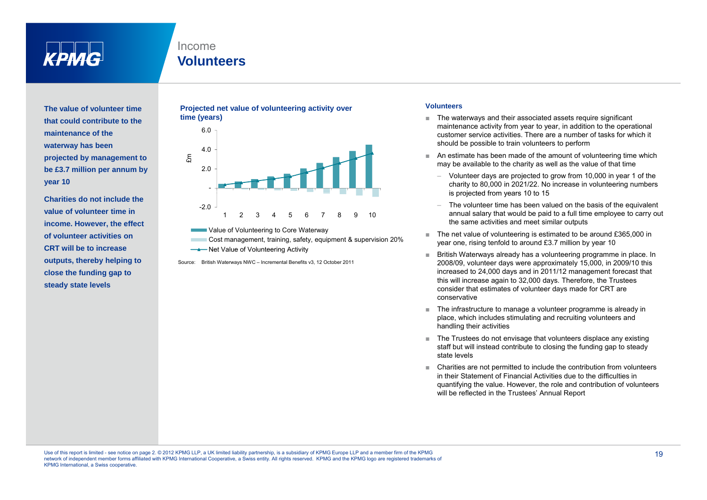

### Income**Volunteers**

**The value of volunteer time that could contribute to the maintenance of the waterway has been projected by management to be £3.7 million per annum by year 10**

**Charities do not include the value of volunteer time in income. However, the effect of volunteer activities on CRT will be to increase**I will be to increase **Net Value of Volunteering Activity outputs, thereby helping to close the funding gap to steady state levels** 

#### **Projected net value of volunteering activity over time (years)**



Value of Volunteering to Core Waterway

Cost management, training, safety, equipment & supervision 20%

Source: British Waterways NWC – Incremental Benefits v3, 12 October 2011

#### **Volunteers**

- The waterways and their associated assets require significant maintenance activity from year to year, in addition to the operational Finance activity from year to year, in addition to the operational control of the service activities. There are a number of tasks for which it should be possible to train volunteers to perform
	- ■ An estimate has been made of the amount of volunteering time which may be available to the charity as well as the value of that time
		- Volunteer days are projected to grow from 10,000 in year 1 of the charity to 80,000 in 2021/22. No increase in volunteering numbers is projected from years 10 to 15
		- The volunteer time has been valued on the basis of the equivalent annual salary that would be paid to a full time employee to carry out the same activities and meet similar outputs
	- The net value of volunteering is estimated to be around £365,000 in year one, rising tenfold to around £3.7 million by year 10
	- ■ British Waterways already has a volunteering programme in place. In 2008/09, volunteer days were approximately 15,000, in 2009/10 this increased to 24,000 days and in 2011/12 management forecast that this will increase again to 32,000 days. Therefore, the Trustees consider that estimates of volunteer days made for CRT are conservative
	- ■ The infrastructure to manage a volunteer programme is already in place, which includes stimulating and recruiting volunteers and handling their activities
	- ■ The Trustees do not envisage that volunteers displace any existing staff but will instead contribute to closing the funding gap to steady state levels
	- ■ Charities are not permitted to include the contribution from volunteers in their Statement of Financial Activities due to the difficulties in quantifying the value. However, the role and contribution of volunteers will be reflected in the Trustees' Annual Report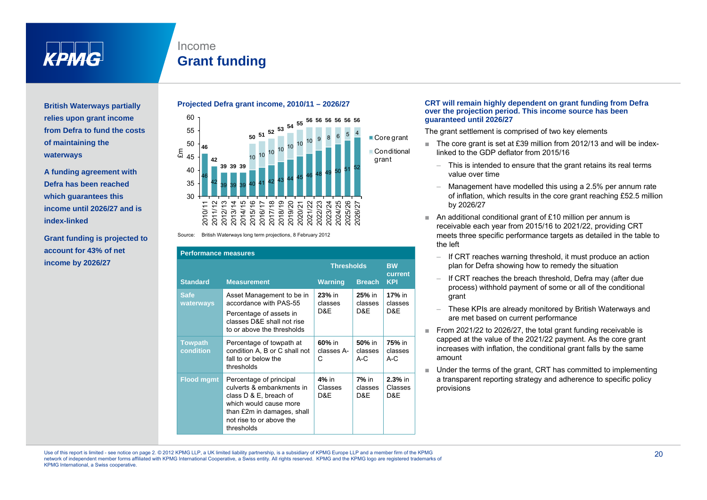

### Income**Grant funding**

- **British Waterways partially relies upon grant income from Defra to fund the costs of maintaining the waterways**
- **A funding agreement with Defra has been reached which guarantees this income until 2026/27 and is index-linked**
- **Grant funding is projected to account for 43% of net**---- -- -- **income by 2026/27**

#### **Projected Defra grant income, 2010/11 – 2026/27**



Source: British Waterways long term projections, 8 February 2012

| <b>Performance measures</b> |                                                                                                                                                                                  |                           |                                |                                   |  |  |  |
|-----------------------------|----------------------------------------------------------------------------------------------------------------------------------------------------------------------------------|---------------------------|--------------------------------|-----------------------------------|--|--|--|
|                             |                                                                                                                                                                                  | <b>Thresholds</b>         |                                | <b>BW</b><br>current              |  |  |  |
| <b>Standard</b>             | <b>Measurement</b>                                                                                                                                                               | <b>Warning</b>            | <b>Breach</b>                  | <b>KPI</b>                        |  |  |  |
| <b>Safe</b><br>waterways    | Asset Management to be in<br>accordance with PAS-55<br>Percentage of assets in<br>classes D&E shall not rise<br>to or above the thresholds                                       | 23% in<br>classes<br>D&E  | 25% in<br>classes<br>D&E       | <b>17%</b> in<br>classes<br>D&E   |  |  |  |
| Towpath<br>condition        | Percentage of towpath at<br>condition A, B or C shall not<br>fall to or below the<br>thresholds                                                                                  | 60% in<br>classes A-<br>C | 50% in<br>classes<br>$A-C$     | <b>75% in</b><br>classes<br>$A-C$ |  |  |  |
| <b>Flood mgmt</b>           | Percentage of principal<br>culverts & embankments in<br>class D & E, breach of<br>which would cause more<br>than £2m in damages, shall<br>not rise to or above the<br>thresholds | 4% in<br>Classes<br>D&E   | <b>7% in</b><br>classes<br>D&E | $2.3%$ in<br>Classes<br>D&E       |  |  |  |

#### **CRT will remain highly dependent on grant funding from Defra over the projection period. This income source has been guaranteed until 2026/27**

The grant settlement is comprised of two key elements

- The core grant is set at £39 million from 2012/13 and will be indexlinked to the GDP deflator from 2015/16
	- This is intended to ensure that the grant retains its real terms value over time
- Management have modelled this using a 2.5% per annum rate  $\overline{0}$  <del>|  $\overline{1}$  |  $\overline{1}$  |  $\overline{1}$  |  $\overline{1}$  |  $\overline{1}$  |  $\overline{1}$  |  $\overline{1}$  |  $\overline{1}$  |  $\overline{1}$  |  $\overline{1}$  |  $\overline{1}$   $\overline{1}$   $\overline{1}$   $\overline{1}$   $\overline{1}$   $\overline{1}$   $\overline{1}$   $\overline{1}$   $\overline{1}$   $\overline{1}$   $\overline{1}$  </del> by 2026/27
	- An additional conditional grant of £10 million per annum is receivable each year from 2015/16 to 2021/22, providing CRT meets three specific performance targets as detailed in the table to the left
		- If CRT reaches warning threshold, it must produce an action plan for Defra showing how to remedy the situation
		- If CRT reaches the breach threshold, Defra may (after due process) withhold payment of some or all of the conditional grant
		- These KPIs are already monitored by British Waterways and<br>are met based on current performance
	- From 2021/22 to 2026/27, the total grant funding receivable is capped at the value of the 2021/22 payment. As the core grant increases with inflation, the conditional grant falls by the same amount
	- ■ Under the terms of the grant, CRT has committed to implementing a transparent reporting strategy and adherence to specific policy provisions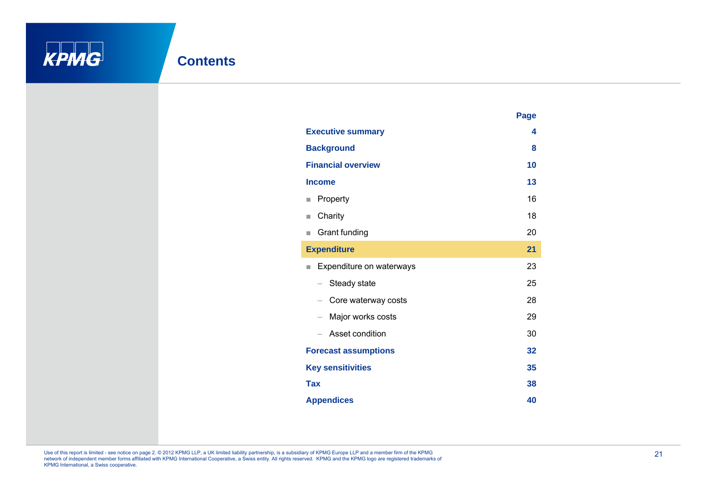

|                                               | Page |
|-----------------------------------------------|------|
| <b>Executive summary</b>                      | 4    |
| <b>Background</b>                             | 8    |
| <b>Financial overview</b>                     | 10   |
| <b>Income</b>                                 | 13   |
| Property<br>٠                                 | 16   |
| Charity<br>٠                                  | 18   |
| Grant funding<br>ш                            | 20   |
| <b>Expenditure</b>                            | 21   |
| Expenditure on waterways<br>ш                 | 23   |
| Steady state<br>$\overline{\phantom{0}}$      | 25   |
| Core waterway costs                           | 28   |
| Major works costs<br>$\overline{\phantom{m}}$ | 29   |
| Asset condition                               | 30   |
| <b>Forecast assumptions</b>                   | 32   |
| <b>Key sensitivities</b>                      | 35   |
| Tax                                           | 38   |
| <b>Appendices</b>                             | 40   |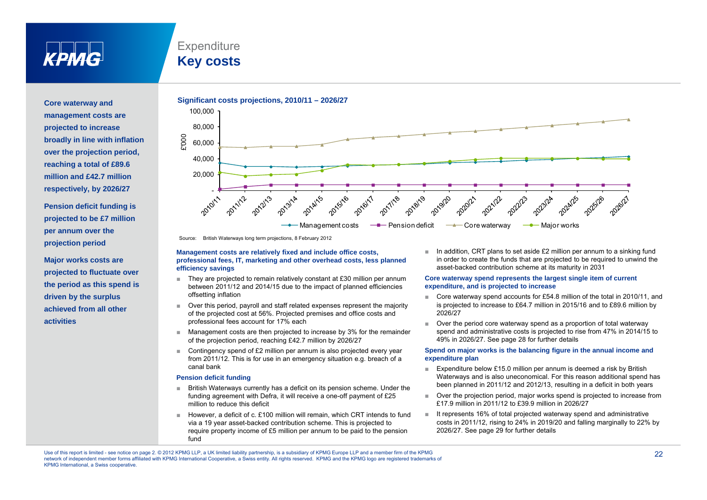

### **Expenditure Key costs**

**Core waterway and management costs are projected to increase broadly in line with inflation over the projection period, reaching a total of £89.6 million and £42.7 million respectively, by 2026/27 p yy**

**Pension deficit funding is projected to be £7 million per annum over the projection period** Source: British Waterways long term projections, 8 February 2012

**Major works costs are projected to fluctuate over the period as this spend is driven by the surplus**  achieved from all other **activities**



#### **MManagement costs are relatively fixed and include office costs, professional fees, IT, marketing and other overhead costs, less planned efficiency savings**

- They are projected to remain relatively constant at £30 million per annum between 2011/12 and 2014/15 due to the impact of planned efficiencies offsetting inflation
- achieved from all other **and the contract of the period**, payroll and staff related expenses represent the majority is projected to increase to £64.7 million in 2015/16 and to £89.6 million by **achieved from all other pe** of the projected cost at 56%. Projected premises and office costs and professional fees account for 17% each
	- Management costs are then projected to increase by 3% for the remainder of the projection period, reaching £42.7 million by 2026/27
	- Contingency spend of £2 million per annum is also projected every year from 2011/12. This is for use in an emergency situation e.g. breach of a canal bank

#### **Pension deficit funding**

- British Waterways currently has a deficit on its pension scheme. Under the funding agreement with Defra, it will receive a one-off payment of £25 million to reduce this deficit
- However, a deficit of c. £100 million will remain, which CRT intends to fund via a 19 year asset-backed contribution scheme. This is projected to require property income of £5 million per annum to be paid to the pension fund

In addition, CRT plans to set aside £2 million per annum to a sinking fund ■in order to create the funds that are projected to be required to unwind the asset-backed contribution scheme at its maturity in 2031

#### **Core waterway spend represents the largest single item of current expenditure, and is projected to increase**

- ■ Core waterway spend accounts for £54.8 million of the total in 2010/11, and is projected to increase to £64.7 million in 2015/16 and to £89.6 million by 2026/27
- ■ Over the period core waterway spend as a proportion of total waterway spend and administrative costs is projected to rise from 47% in 2014/15 to 49% in 2026/27. See page 28 for further details

#### **Spend on major works is the balancing figure in the annual income and expenditure plan**

- ■ Expenditure below £15.0 million per annum is deemed a risk by British Waterways and is also uneconomical. For this reason additional spend has been planned in 2011/12 and 2012/13, resulting in a deficit in both years
- ■ Over the projection period, major works spend is projected to increase from £17.9 million in 2011/12 to £39.9 million in 2026/27
- It represents 16% of total projected waterway spend and administrative costs in 2011/12, rising to 24% in 2019/20 and falling marginally to 22% by 2026/27. See page 29 for further details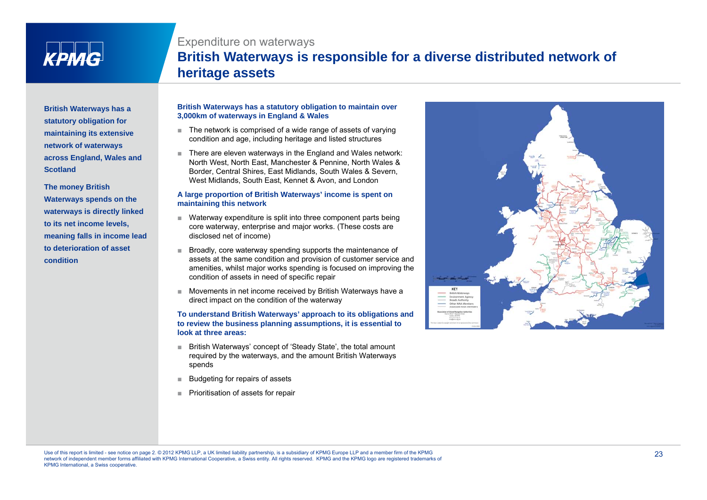

### Expenditure on waterways **British Waterways is responsible for a diverse distributed network of heritage assets**

**British Waterways has a statutory obligation for maintaining its extensive network of waterways across England, Wales and Scotland**

**The money British Waterways spends on the waterways is directly linked to its net income levels, meaning falls in income lead to deterioration of assetcondition**

#### **British Waterways has a statutory obligation to maintain over 3,000km of waterways in England & Wales**

- The network is comprised of a wide range of assets of varying g its extensive **general condition** and age, including heritage and listed structures
	- There are eleven waterways in the England and Wales network: North West, North East, Manchester & Pennine, North Wales & Border, Central Shires, East Midlands, South Wales & Severn, West Midlands, South East, Kennet & Avon, and London

#### A large proportion of British Waterways' income is spent on **maintaining this network**

- Waterway expenditure is split into three component parts being core waterway, enterprise and major works. (These costs are disclosed net of income)
- **D** deterioration of asset **Example 20** Election of Broadly, core waterway spending supports the maintenance of assets at the same condition and provision of customer service and amenities, whilst major works spending is focused on improving the condition of assets in need of specific repair
	- Movements in net income received by British Waterways have a direct impact on the condition of the waterway

#### **To understand British Waterways' approach to its obligations and to review the business planning assumptions, it is essential to look at three areas:**

- British Waterways' concept of 'Steady State', the total amount required by the waterways, and the amount British Waterways spends
- ■Budgeting for repairs of assets
- Prioritisation of assets for repair

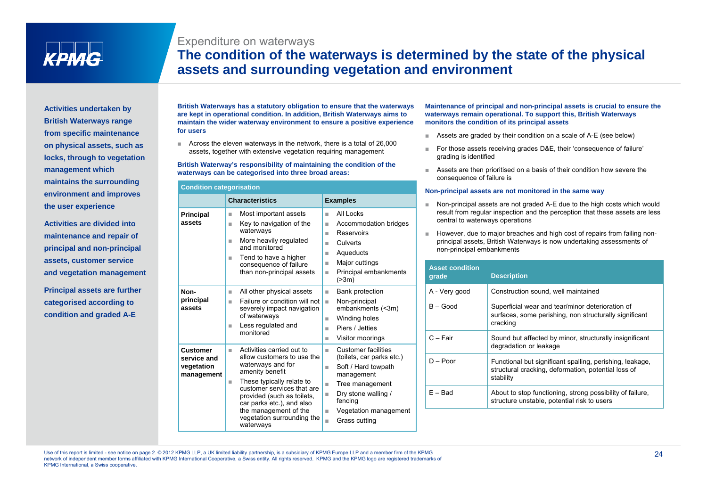

### Expenditure on waterways

### **The condition of the waterways is determined by the state of the physical assets and surrounding vegetation and environment**

**Activities undertaken by British Waterways range from s pecific maintenance p on physical assets, such as locks, through to vegetation management which maintains the surrounding environment and improves the user experience**

**Activities are divided into maintenance and repair of principal and non-principal non principalassets, customer service and vegetation management** 

**Principal assets are further cate gorised accordin g to condition and graded A-E**

**British Waterways has a statutory obligation to ensure that the waterways are kept in operational condition. In addition, British Waterways aims to maintain the wider waterway environment to ensure a positive experience for users**

■ Across the eleven waterways in the network, there is a total of 26,000 assets, together with extensive vegetation requiring management

#### **British Waterway's responsibility of maintaining the condition of the waterways can be categorised into three broad areas:**

|                                                                                                                    | <b>Condition categorisation</b>                                                   |                                                                                                                                                                                                     |                                                                                                                             | Non-principal assets are not monitored in the same way                                                                                                                                                                                                                                      |                                                                                                                             |
|--------------------------------------------------------------------------------------------------------------------|-----------------------------------------------------------------------------------|-----------------------------------------------------------------------------------------------------------------------------------------------------------------------------------------------------|-----------------------------------------------------------------------------------------------------------------------------|---------------------------------------------------------------------------------------------------------------------------------------------------------------------------------------------------------------------------------------------------------------------------------------------|-----------------------------------------------------------------------------------------------------------------------------|
| ronment and improves<br><b>user experience</b>                                                                     |                                                                                   | <b>Characteristics</b>                                                                                                                                                                              | <b>Examples</b>                                                                                                             |                                                                                                                                                                                                                                                                                             | Non-principal assets are not graded A-E due to the high costs which w                                                       |
| vities are divided into<br><b>itenance and repair of</b><br>cipal and non-principal<br><b>ts, customer service</b> | <b>Principal</b><br>assets                                                        | Most important assets<br>ш<br>Key to navigation of the<br>waterways<br>More heavily regulated<br>and monitored<br>Tend to have a higher<br>ш<br>consequence of failure<br>than non-principal assets | $\blacksquare$ All Locks<br>Accommodation bridges<br>Reservoirs<br>ш.<br>Culverts<br>ш.<br>Aqueducts<br>٠<br>Major cuttings | result from regular inspection and the perception that these assets are<br>central to waterways operations<br>However, due to major breaches and high cost of repairs from failing no<br>principal assets, British Waterways is now undertaking assessments of<br>non-principal embankments |                                                                                                                             |
| vegetation management                                                                                              |                                                                                   |                                                                                                                                                                                                     | Principal embankments<br>(>3m)                                                                                              | <b>Asset condition</b><br>grade                                                                                                                                                                                                                                                             | <b>Description</b>                                                                                                          |
| cipal assets are further                                                                                           | Non-                                                                              | All other physical assets                                                                                                                                                                           | <b>Bank protection</b>                                                                                                      | A - Very good                                                                                                                                                                                                                                                                               | Construction sound, well maintained                                                                                         |
| gorised according to<br>dition and graded A-E                                                                      | principal<br>assets<br><b>Customer</b><br>service and<br>vegetation<br>management | Failure or condition will not $\Box$<br>severely impact navigation<br>of waterways<br>Less regulated and<br>monitored                                                                               | Non-principal<br>embankments (<3m)<br>Winding holes<br>Piers / Jetties                                                      | $B - Good$                                                                                                                                                                                                                                                                                  | Superficial wear and tear/minor deterioration of<br>surfaces, some perishing, non structurally significant<br>cracking      |
|                                                                                                                    |                                                                                   |                                                                                                                                                                                                     | Visitor moorings                                                                                                            | $C - Fair$                                                                                                                                                                                                                                                                                  | Sound but affected by minor, structurally insignifican<br>degradation or leakage                                            |
|                                                                                                                    |                                                                                   | Activities carried out to<br>allow customers to use the<br>waterways and for<br>amenity benefit                                                                                                     | Customer facilities<br>ш.<br>(toilets, car parks etc.)<br>Soft / Hard towpath<br>management                                 | $D - Poor$                                                                                                                                                                                                                                                                                  | Functional but significant spalling, perishing, leakage<br>structural cracking, deformation, potential loss of<br>stability |
|                                                                                                                    |                                                                                   | These typically relate to<br>customer services that are<br>provided (such as toilets,<br>car parks etc.), and also<br>the management of the<br>vegetation surrounding the<br>waterways              | Tree management<br>Dry stone walling /<br>fencing<br>$\blacksquare$ Vegetation management<br>Grass cutting<br>m.            | $E - Bad$                                                                                                                                                                                                                                                                                   | About to stop functioning, strong possibility of failure<br>structure unstable, potential risk to users                     |

#### **Maintenance of principal and non-principal assets is crucial to ensure the waterways remain operational. To support this, British Waterways monitors the condition of its principal assets**

- ■■ Assets are graded by their condition on a scale of A-E (see below)
- ■ For those assets receiving grades D&E, their 'consequence of failure' grading is identified
- ■ Assets are then prioritised on a basis of their condition how severe the consequence of failure is

- ■ Non-principal assets are not graded A-E due to the high costs which would result from regular inspection and the perception that these assets are less central to waterways operations
- ■ However, due to major breaches and high cost of repairs from failing nonprincipal assets, British Waterways is now undertaking assessments of

| <b>Asset condition</b><br>grade | <b>Description</b>                                                                                                           |
|---------------------------------|------------------------------------------------------------------------------------------------------------------------------|
| A - Very good                   | Construction sound, well maintained                                                                                          |
| $B - Good$                      | Superficial wear and tear/minor deterioration of<br>surfaces, some perishing, non structurally significant<br>cracking       |
| $C - Fair$                      | Sound but affected by minor, structurally insignificant<br>degradation or leakage                                            |
| $D - P$ oor                     | Functional but significant spalling, perishing, leakage,<br>structural cracking, deformation, potential loss of<br>stability |
| $E - Bad$                       | About to stop functioning, strong possibility of failure,<br>structure unstable, potential risk to users                     |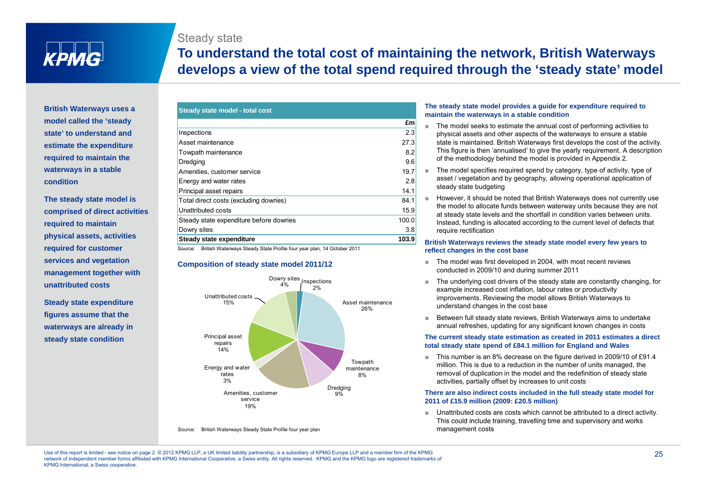### Steady state



### **To understand the total cost of maintaining the network, British Waterways develops a view of the total spend required through the 'steady state' model**

**British Waterways uses a model called the 'steady state' to understand and estimate the expenditure required to maintain the waterways in a stable condition**

**The steady state model is comprised of direct activities required to maintain physical assets, activities required for customer services and vegetation management together with unattributed costs**

**Steady state expenditure figures assume that the waterways are already in steady state condition** 

| Steady state model - total cost         |       | The steady state model provides a guide for expenditure required to<br>maintain the waterways in a stable condition                              |
|-----------------------------------------|-------|--------------------------------------------------------------------------------------------------------------------------------------------------|
|                                         | £ml   | The model seeks to estimate the annual cost of performing activities to                                                                          |
| Inspections                             | 2.3   | physical assets and other aspects of the waterways to ensure a stable                                                                            |
| Asset maintenance                       | 27.3  | state is maintained. British Waterways first develops the cost of the ac                                                                         |
| Towpath maintenance                     | 8.2   | This figure is then 'annualised' to give the yearly requirement. A descre                                                                        |
| Dredging                                | 9.6   | of the methodology behind the model is provided in Appendix 2.                                                                                   |
| Amenities, customer service             | 19.7  | The model specifies required spend by category, type of activity, type                                                                           |
| Energy and water rates                  | 2.8   | asset / vegetation and by geography, allowing operational application                                                                            |
| <b>Principal asset repairs</b>          | 14.1  | steady state budgeting                                                                                                                           |
| Total direct costs (excluding dowries)  | 84.1  | However, it should be noted that British Waterways does not currently                                                                            |
| Unattributed costs                      | 15.9  | the model to allocate funds between waterway units because they are<br>at steady state levels and the shortfall in condition varies between unit |
| Steady state expenditure before dowries | 100.0 | Instead, funding is allocated according to the current level of defects the                                                                      |
| Dowry sites                             | 3.8   | require rectification                                                                                                                            |
| Steady state expenditure                | 103.9 | British Waterways reviews the steady state model every few years to                                                                              |
|                                         |       |                                                                                                                                                  |

Source: British Waterways Steady State Profile four year plan, 14 October 2011

#### **Composition of steady state model 2011/12**



Source: British Waterways Steady State Profile four year plan management costs management costs

#### **The steady state model provides a guide for expenditure required to maintain the waterways in a stable condition**

- ■ The model seeks to estimate the annual cost of performing activities to state is maintained. British Waterways first develops the cost of the activity. This figure is then 'annualised' to give the yearly requirement. A description of the methodology behind the model is provided in Appendix 2.
- The model specifies required spend by category, type of activity, type of asset / vegetation and by geography, allowing operational application of steady state budgeting
- ■ However, it should be noted that British Waterways does not currently use the model to allocate funds between waterway units because they are not at steady state levels and the shortfall in condition varies between units. Instead, funding is allocated according to the current level of defects that require rectification

#### **British Waterways reviews the steady state model every few years to reflect changes in the cost base** . . . . . . . .

- The model was first developed in 2004, with most recent reviews conducted in 2009/10 and during summer 2011
- ■ The underlying cost drivers of the steady state are constantly changing, for example increased cost inflation, labour rates or productivity improvements. Reviewing the model allows British Waterways to understand changes in the cost base
- ■ Between full steady state reviews, British Waterways aims to undertake annual refreshes, updating for any significant known changes in costs

#### **The current steady state estimation as created in 2011 estimates a direct total steady state spend of £84.1 million for England and Wales**

■ This number is an 8% decrease on the figure derived in 2009/10 of £91.4 million. This is due to a reduction in the number of units managed, the removal of duplication in the model and the redefinition of steady state activities, partially offset by increases to unit costs

#### **There are also indirect costs included in the full steady state model for 2011 of £15.9 million (2009: £20.5 million)**

■ Unattributed costs are costs which cannot be attributed to a direct activity. This could include training, travelling time and supervisory and works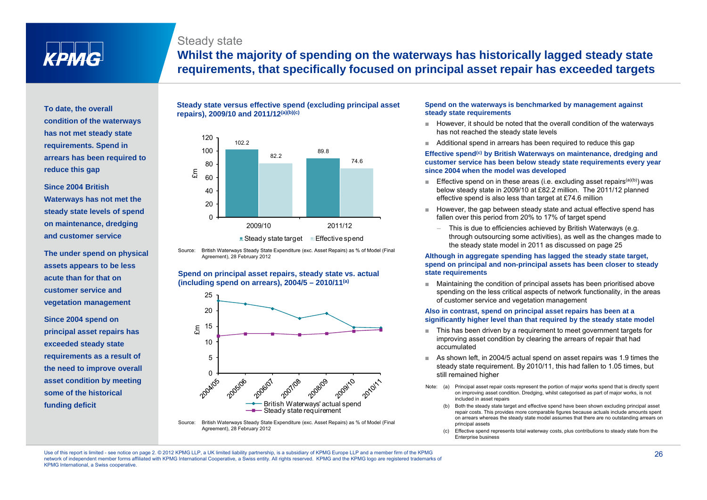### Steady state



**To date, the overall condition of the waterways has not met stead y state y requirements. Spend in arrears has been required to reduce this gap**

**Since 2004 British Waterways has not met the steady state levels of spend on maintenance, dredging and customer service**

**The under spend on physical assets appears to be less acute than for that on customer service and ve getation mana gement g g**

**Since 2004 spend on principal asset repairs has exceeded steady state requirements as a result of some of the historical funding deficit** 

#### **Steady state versus effective spend (excluding principal asset repairs), 2009/10 and 2011/12(a)(b)(c)**



Source: British Waterways Steady State Expenditure (exc. Asset Repairs) as % of Model (Final Agreement), 28 February 2012

#### **Spend on principal asset repairs, steady state vs. actual (including spend on arrears), 2004/5 – 2010/11(a)**



Source: British Waterways Steady State Expenditure (exc. Asset Repairs) as % of Model (Final Agreement), 28 February 2012

#### **Spend on the waterways is benchmarked by management against steady state requirements**

- However, it should be noted that the overall condition of the waterways has not reached the steady state levels
- Additional spend in arrears has been required to reduce this gap

#### Effective spend<sup>(c)</sup> by British Waterways on maintenance, dredging and **customer service has been below steady state requirements every year since 2004 when the model was developed**

- **Effective spend on in these areas (i.e. excluding asset repairs**<sup>(a)(b)</sup>) was below steady state in 2009/10 at £82.2 million. The 2011/12 planned effective spend is also less than target at £74.6 million
- However, the gap between steady state and actual effective spend has fallen over this period from 20% to 17% of target spend
	- This is due to efficiencies achieved by British Waterways (e.g. through outsourcing some activities), as well as the changes made to the steady state model in 2011 as discussed on page 25

#### **Although in aggregate spending has lagged the steady state target, spend on principal and non-principal assets has been closer to steady state requirements**

■ Maintaining the condition of principal assets has been prioritised above spending on the less critical aspects of network functionality, in the areas of customer service and vegetation management

#### **Also in contrast, spend on principal asset repairs has been at a significantly higher level than that required by the steady state model**

- This has been driven by a requirement to meet government targets for improving asset condition by clearing the arrears of repair that had accumulated
- ■ As shown left, in 2004/5 actual spend on asset repairs was 1.9 times the steady state requirement. By 2010/11, this had fallen to 1.05 times, but
- Note: (a) Principal asset repair costs represent the portion of major works spend that is directly spent on improving asset condition. Dredging, whilst categorised as part of major works, is not included in asset repairs
	- (b) Both the steady state target and effective spend have been shown excluding principal asset repair costs. This provides more comparable figures because actuals include amounts spent on arrears whereas the steady state model assumes that there are no outstanding arrears on principal assets
	- Effective spend represents total waterway costs, plus contributions to steady state from the Enterprise business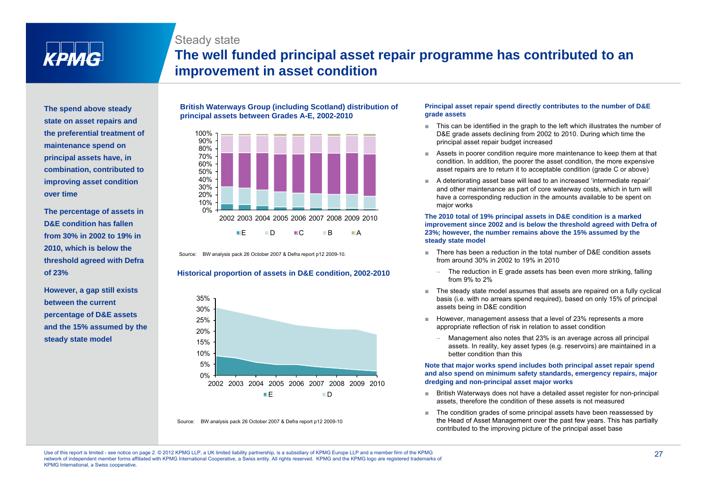## **The well funded principal asset repair programme has contributed to an improvement in asset condition**

**The spend above steady state on asset repairs and the preferential treatment of p maintenance spend on principal assets have, in combination, contributed to improving asset condition over time**

**The percentage of assets in D&E condition has fallen from 30% in 2002 to 19% in 2010 which is below the2010, threshold agreed with Defra of 23%** 

**However, a gap still exists between the current percentage of D&E assets and the 15% assumed by the steady state model**

#### **British Waterways Group (including Scotland) distribution of principal assets between Grades A-E, 2002-2010**

Steady state



Source: BW analysis pack 26 October 2007 & Defra report p12 2009-10.

#### **Historical proportion of assets in D&E condition, 2002-2010**



Source: BW analysis pack 26 October 2007 & Defra report p12 2009-10

#### **Principal asset repair spend directly contributes to the number of D&E grade assets**

- ■ This can be identified in the graph to the left which illustrates the number of D&E grade assets declining from 2002 to 2010. During which time the g g g principal asset repair budget increased
	- ■ Assets in poorer condition require more maintenance to keep them at that condition. In addition, the poorer the asset condition, the more expensive asset repairs are to return it to acceptable condition (grade C or above)
- ■ A deteriorating asset base will lead to an increased 'intermediate repair' and other maintenance as part of core waterway costs, which in turn will 20% have a corresponding reduction in the amounts available to be spent on major works

#### **The 2010 total of 19% principal assets in D&E condition is a marked improvement since 2002 and is below the threshold agreed with Defra of 23%; however, the number remains above the 15% assumed by the steady state model**

- $\blacksquare$  There has been a reduction in the total number of D&E condition assets ■from around 30% in 2002 to 19% in 2010
	- The reduction in E grade assets has been even more striking, falling from 9% to 2%
- The steady state model assumes that assets are repaired on a fully cyclical basis (i.e. with no arrears spend required), based on only 15% of principal assets being in D&E condition
- ■ However, management assess that a level of 23% represents a more appropriate reflection of risk in relation to asset condition
	- Management also notes that 23% is an average across all principal assets. In reality, key asset types (e.g. reservoirs) are maintained in a better condition than this

#### **Note that major works spend includes both principal asset repair spend and also spend on minimum safety standards, emergency repairs, major dredging and non-principal asset major works**

- ■ British Waterways does not have a detailed asset register for non-principal assets, therefore the condition of these assets is not measured
- ■ The condition grades of some principal assets have been reassessed by the Head of Asset Management over the past few years. This has partially contributed to the improving picture of the principal asset base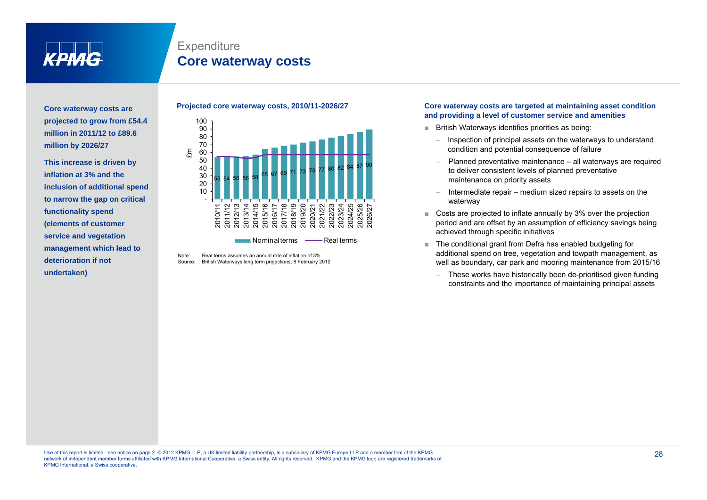

### **Expenditure Core waterway costs**

**Core waterway costs are projected to grow from £54.4 million in 2011/12 to £89.6** £m**million by 2026/27**

**This increase is driven by inflation at 3% and the inclusion of additional spend to narrow the gap on critical functionality spend (elements of customer service and vegetation management which lead to deterioration if not undertaken)**

#### **Projected core waterway costs, 2010/11-2026/27**



Note: Real terms assumes an annual rate of inflation of 3%Source: British Waterways long term projections, 8 February 2012

#### **Core waterway costs are targeted at maintaining asset condition and providing a level of customer service and amenities**

- British Waterways identifies priorities as being:
	- Inspection of principal assets on the waterways to understand condition and potential consequence of failure
	- Planned preventative maintenance all waterways are required to deliver consistent levels of planned preventative maintenance on priority assets
	- $-$  Intermediate repair medium sized repairs to assets on the waterway
- Costs are projected to inflate annually by 3% over the projection period and are offset by an assumption of efficiency savings being achieved through specific initiatives
- ■ The conditional grant from Defra has enabled budgeting for additional spend on tree, vegetation and towpath management, as well as boundary, car park and mooring maintenance from 2015/16
	- These works have historically been de-prioritised given funding constraints and the importance of maintaining principal assets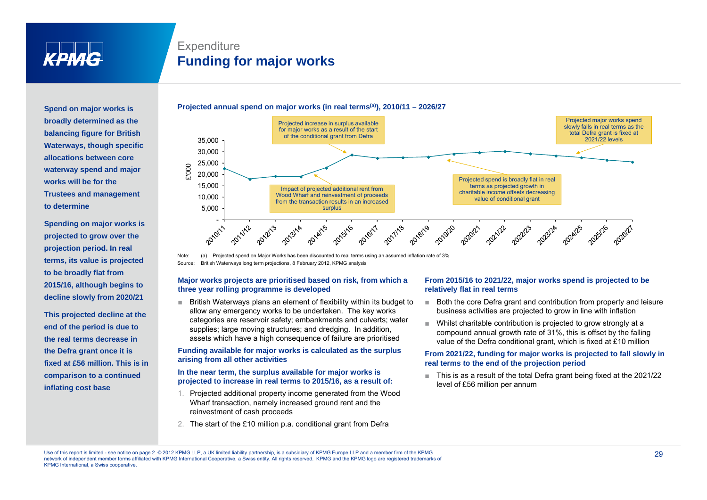

### **Expenditure Funding for major works**

**Spend on major works is broadly determined as the balancing figure for British g g Waterways, though specific allocations between core waterway spend and major works will be for the Trustees and management** 10,000 **managementto determine** 

**Spending on major works is projected to grow over the projection period In real period. terms, its value is projected to be broadly flat from 2015/16, although begins to decline slowly from 2020/21** 

**This projected decline at the end of the period is due to the real terms decrease in the Defra grant once it is fixed at £56 million This is incomparison to a continued inflating cost base**



Note: (a) Projected spend on Major Works has been discounted to real terms using an assumed inflation rate of 3% Source: British Waterways long term projections, 8 February 2012, KPMG analysis

#### **Major works projects are prioritised based on risk, from which a three year rolling programme is developed**

■ British Waterways plans an element of flexibility within its budget to allow any emergency works to be undertaken. The key works categories are reservoir safety; embankments and culverts; water supplies; large moving structures; and dredging. In addition, assets which have a high consequence of failure are prioritised

#### **Funding available for major works is calculated as the surplus arising from all other activities g**

#### **In the near term, the surplus available for major works is projected to increase in real terms to 2015/16, as a result of:**

- 1. Projected additional property income generated from the Wood Wharf transaction, namely increased ground rent and the reinvestment of cash proceeds
- 2. The start of the £10 million p.a. conditional grant from Defra

#### **From 2015/16 to 2021/22, major works spend is projected to be relatively flat in real terms**

- Both the core Defra grant and contribution from property and leisure business activities are projected to grow in line with inflation
- Whilst charitable contribution is projected to grow strongly at a compound annual growth rate of 31%, this is offset by the falling value of the Defra conditional grant, which is fixed at £10 million

#### **From 2021/22, funding for major works is projected to fall slowly in million. is real terms to the end of the projection period**

 This is as a result of the total Defra grant being fixed at the 2021/22 level of £56 million per annum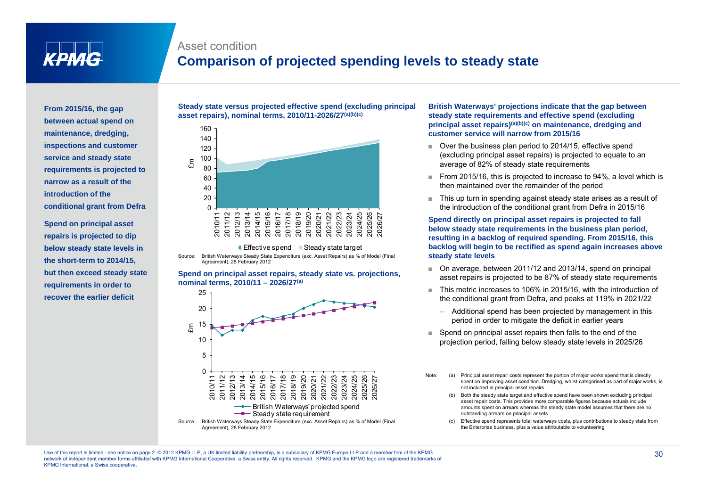

### Asset condition**Comparison of projected spending levels to steady state**

**maintenance, dredging, , <sup>g</sup> g,inspections and customer service and steady state requirements is projected to narrow as a result of the introduction of theconditional grant from Defra**

**Spend on principal asset repairs is projected to dip the short-term to 2014/15, but then exceed steady state requirements in order to recover the earlier deficit**

### **Steady state versus projected effective spend (excluding principal asset repairs), nominal terms, 2010/11-2026/27<sup>(a)(b</sup>) between actual spend on**  $\frac{1}{2}$  **asset repairs), nominal terms, 2010/11-2026/27<sup>(a)(b)(c)</sup>**



 $\blacksquare$  Effective spend  $\blacksquare$  Steady state target **below steady state levels in** Source: British Waterways Steady State Expenditure (exc. Asset Repairs) as % of Model (Final

Agreement), 28 February 2012

**Spend on principal asset repairs, steady state vs. projections, nominal terms, 2010/11 – 2026/27(a)**



**British Waterways' projections indicate that the gap between steady state requirements and effective spend (excluding principal asset repairs)(a)(b)(c) on maintenance, dredging and customer service will narrow from 2015/16custo e se ce a o o 0 5/ 6**

- Over the business plan period to 2014/15, effective spend (excluding principal asset repairs) is projected to equate to an average of 82% of steady state requirements
- From 2015/16, this is projected to increase to 94%, a level which is then maintained over the remainder of the period
- This up turn in spending against steady state arises as a result of the introduction of the conditional grant from Defra in 2015/16

**Spend directly on principal asset repairs is projected to fall below steady state requirements in the business plan period, resulting in a backlog of required spending. From 2015/16, this backlog will begin to be rectified as spend again increases above g g pg steady state levels**

- On average, between 2011/12 and 2013/14, spend on principal asset repairs is projected to be 87% of steady state requirements
- This metric increases to 106% in 2015/16, with the introduction of the conditional grant from Defra, and peaks at 119% in 2021/22
	- – Additional spend has been projected by management in this period in order to mitigate the deficit in earlier years
- Spend on principal asset repairs then falls to the end of the projection period, falling below steady state levels in 2025/26
- Note: (a) Principal asset repair costs represent the portion of major works spend that is directly spent on improving asset condition. Dredging, whilst categorised as part of major works, is not included in principal asset repairs
	- Both the steady state target and effective spend have been shown excluding principal asset repair costs. This provides more comparable figures because actuals include amounts spent on arrears whereas the steady state model assumes that there are no outstanding arrears on principal assets
	- (c) Effective spend represents total waterways costs, plus contributions to steady state from the Enterprise business, plus a value attributable to volunteering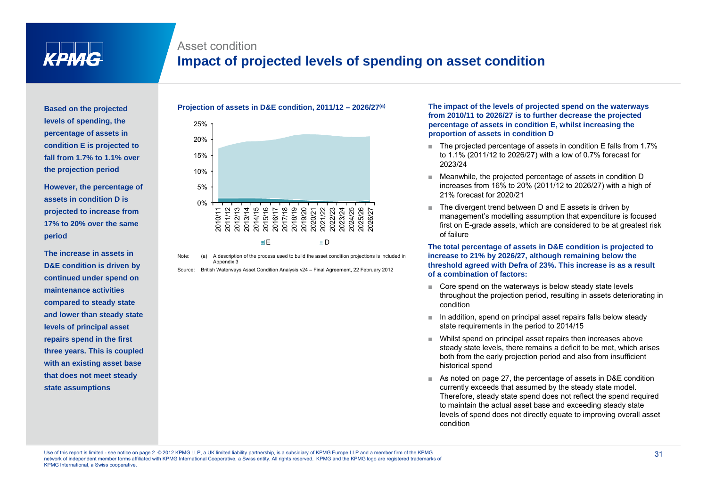

### Asset condition**Impact of projected levels of spending on asset condition**

**Based on the projected levels of spending, the percentage of assets in <sup>p</sup> <sup>g</sup> condition E is projected to fall from 1.7% to 1.1% over the projection period**

**However, the percentage of assets in condition D is projected to increase from 17% to 20% over the same period**

**D&E condition is driven by continued under spend on maintenance activities compared to steady state p y and lower than steady state levels of principal asset repairs spend in the first three years. This is coupled with an existing asset base**  $\qquad$  **historical spending the set of the set of the set of the set of the set of the set of the set of the set of the set of the set of the set of the set of the set of the set of the set of that does not meet steady state assumptions**



Note: (a) A description of the process used to build the asset condition projections is included in Appendix 3

Source: British Waterways Asset Condition Analysis v24 – Final Agreement, 22 February 2012

Projection of assets in D&E condition, 2011/12 – 2026/27<sup>(a)</sup> The impact of the levels of projected spend on the waterways **from 2010/11 to 2026/27 is to further decrease the projected percentage of assets in condition E, whilst increasing the proportion of assets in condition D p opo t <sup>o</sup> <sup>o</sup> assets co d t <sup>o</sup>**

- The projected percentage of assets in condition E falls from 1.7% to 1.1% (2011/12 to 2026/27) with a low of 0.7% forecast for 2023/24
- Meanwhile, the projected percentage of assets in condition D increases from 16% to 20% (2011/12 to 2026/27) with a high of 21% forecast for 2020/21
- The divergent trend between D and E assets is driven by management's modelling assumption that expenditure is focused first on E-grade assets, which are considered to be at greatest risk of failure

The total percentage of assets in D&E condition is projected to<br>The increase in assets in assets in the policy of the contribution of the areas world build the acceptance is included in the concess of a 24% by 2026/27, alt **increase to 21% by 2026/27, although remaining below the threshold agreed with Defra of 23%. This increase is as a result of a combination of factors:**

- Core spend on the waterways is below steady state levels throughout the projection period, resulting in assets deteriorating in condition
- In addition, spend on principal asset repairs falls below steady state requirements in the period to 2014/15
- Whilst spend on principal asset repairs then increases above steady state levels, there remains a deficit to be met, which arises both from the early projection period and also from insufficient historical spend
- As noted on page 27, the percentage of assets in D&E condition currently exceeds that assumed by the steady state model. Therefore, steady state spend does not reflect the spend required to maintain the actual asset base and exceeding steady state levels of spend does not directly equate to improving overall asset condition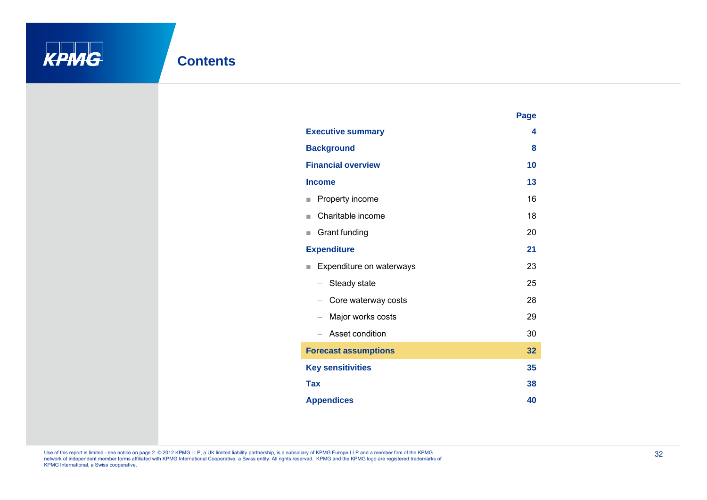

|                                                 | Page |
|-------------------------------------------------|------|
| <b>Executive summary</b>                        | 4    |
| <b>Background</b>                               | 8    |
| <b>Financial overview</b>                       | 10   |
| <b>Income</b>                                   | 13   |
| Property income<br>٠                            | 16   |
| Charitable income<br>٠                          | 18   |
| Grant funding<br>ш                              | 20   |
| <b>Expenditure</b>                              | 21   |
| Expenditure on waterways<br>٠                   | 23   |
| Steady state<br>$\qquad \qquad -$               | 25   |
| Core waterway costs<br>$\overline{\phantom{0}}$ | 28   |
| Major works costs<br>$\qquad \qquad -$          | 29   |
| Asset condition                                 | 30   |
| <b>Forecast assumptions</b>                     | 32   |
| <b>Key sensitivities</b>                        | 35   |
| <b>Tax</b>                                      | 38   |
| <b>Appendices</b>                               | 40   |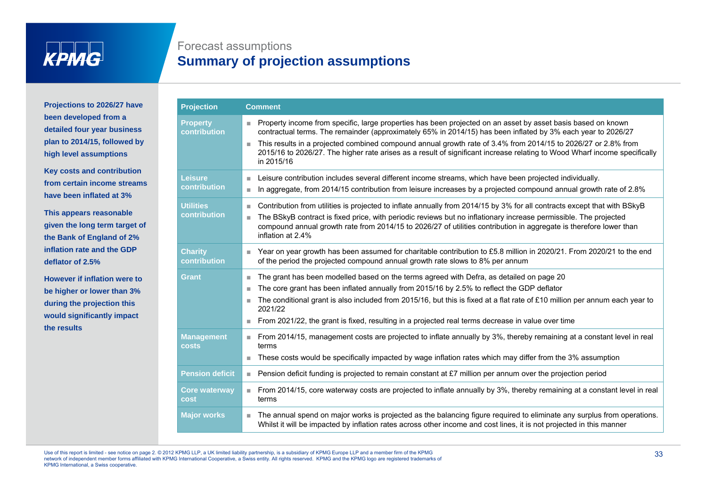

### Forecast assumptions **Summary of projection assumptions**

| <b>Projections to 2026/27 have</b>                                                                                            | <b>Projection</b>                 | <b>Comment</b>                                                                                                                                                                                                                                                                                                                                                                                                                                                                                             |
|-------------------------------------------------------------------------------------------------------------------------------|-----------------------------------|------------------------------------------------------------------------------------------------------------------------------------------------------------------------------------------------------------------------------------------------------------------------------------------------------------------------------------------------------------------------------------------------------------------------------------------------------------------------------------------------------------|
| been developed from a<br>detailed four year business<br>plan to 2014/15, followed by<br>high level assumptions                | <b>Property</b><br>contribution   | Property income from specific, large properties has been projected on an asset by asset basis based on known<br>contractual terms. The remainder (approximately 65% in 2014/15) has been inflated by 3% each year to 2026/27<br>This results in a projected combined compound annual growth rate of 3.4% from 2014/15 to 2026/27 or 2.8% from<br>$\blacksquare$<br>2015/16 to 2026/27. The higher rate arises as a result of significant increase relating to Wood Wharf income specifically<br>in 2015/16 |
| <b>Key costs and contribution</b><br>from certain income streams<br>have been inflated at 3%                                  | <b>Leisure</b><br>contribution    | Leisure contribution includes several different income streams, which have been projected individually.<br>ш.<br>In aggregate, from 2014/15 contribution from leisure increases by a projected compound annual growth rate of 2.8%                                                                                                                                                                                                                                                                         |
| This appears reasonable<br>given the long term target of<br>the Bank of England of 2%                                         | <b>Utilities</b><br>contribution  | Contribution from utilities is projected to inflate annually from 2014/15 by 3% for all contracts except that with BSkyB<br>m.<br>The BSkyB contract is fixed price, with periodic reviews but no inflationary increase permissible. The projected<br>H.<br>compound annual growth rate from 2014/15 to 2026/27 of utilities contribution in aggregate is therefore lower than<br>inflation at 2.4%                                                                                                        |
| inflation rate and the GDP<br>deflator of 2.5%                                                                                | <b>Charity</b><br>contribution    | Year on year growth has been assumed for charitable contribution to £5.8 million in 2020/21. From 2020/21 to the end<br>of the period the projected compound annual growth rate slows to 8% per annum                                                                                                                                                                                                                                                                                                      |
| <b>However if inflation were to</b><br>be higher or lower than 3%<br>during the projection this<br>would significantly impact | Grant                             | The grant has been modelled based on the terms agreed with Defra, as detailed on page 20<br>The core grant has been inflated annually from 2015/16 by 2.5% to reflect the GDP deflator<br>The conditional grant is also included from 2015/16, but this is fixed at a flat rate of £10 million per annum each year to<br>2021/22<br>From 2021/22, the grant is fixed, resulting in a projected real terms decrease in value over time<br>m.                                                                |
| the results                                                                                                                   | <b>Management</b><br><b>costs</b> | From 2014/15, management costs are projected to inflate annually by 3%, thereby remaining at a constant level in real<br>terms<br>These costs would be specifically impacted by wage inflation rates which may differ from the 3% assumption                                                                                                                                                                                                                                                               |
|                                                                                                                               | <b>Pension deficit</b>            | Pension deficit funding is projected to remain constant at £7 million per annum over the projection period                                                                                                                                                                                                                                                                                                                                                                                                 |
|                                                                                                                               | <b>Core waterway</b><br>cost      | From 2014/15, core waterway costs are projected to inflate annually by 3%, thereby remaining at a constant level in real<br>terms                                                                                                                                                                                                                                                                                                                                                                          |
|                                                                                                                               | <b>Major works</b>                | The annual spend on major works is projected as the balancing figure required to eliminate any surplus from operations.<br>Whilst it will be impacted by inflation rates across other income and cost lines, it is not projected in this manner                                                                                                                                                                                                                                                            |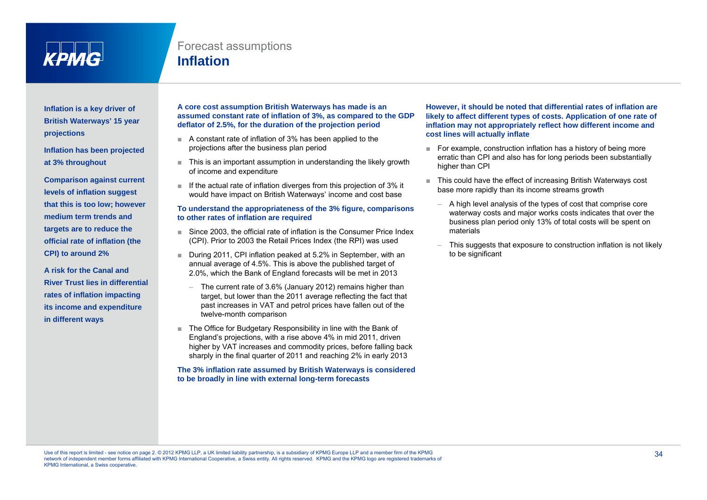

### Forecast assumptions **Inflation**

**Inflation is a key driver of British Waterways' 15 year projections**

**Inflation has been projected at 3% throughout** 

**Comparison against current levels of inflation suggest that this is too low; however medium term trends and targets are to reduce the official rate of inflation (the CPI) to around 2%** 

**A risk for the Canal and River Trust lies in differential rates of inflation impacting its income and expenditure in different ways**

#### **A core cost assumption British Waterways has made is an assumed constant rate of inflation of 3%, as compared to the GDP deflator of 2.5%, for the duration of the projection period**

- **projections**<br>■ A constant rate of inflation of 3% has been applied to the **balliers boxed intervally inflate**<br>■ A constant rate of inflation of 3% has been applied to the projections after the business plan period
	- This is an important assumption in understanding the likely growth of income and expenditure
	- If the actual rate of inflation diverges from this projection of 3% it s of inflation suggest and the behavior of the behavior of the projection of 5% it.<br>Would have impact on British Waterways' income and cost base base

#### **To understand the appropriateness of the 3% figure, comparisons to other rates of inflation are required**

- Since 2003, the official rate of inflation is the Consumer Price Index (CPI). Prior to 2003 the Retail Prices Index (the RPI) was used
- During 2011, CPI inflation peaked at 5.2% in September, with an annual average of 4.5%. This is above the published target of 2.0%, which the Bank of England forecasts will be met in 2013
	- – The current rate of 3.6% (January 2012) remains higher than target, but lower than the 2011 average reflecting the fact that past increases in VAT and petrol prices have fallen out of the twelve-month comparison
- The Office for Budgetary Responsibility in line with the Bank of England's projections, with a rise above 4% in mid 2011, driven higher by VAT increases and commodity prices, before falling back sharply in the final quarter of 2011 and reaching 2% in early 2013

**The 3% inflation rate assumed by British Waterways is considered to be broadly in line with external long-term forecasts**

#### **However, it should be noted that differential rates of inflation are likely to affect different types of costs. Application of one rate of inflation may not appropriately reflect how different income and**  cost lines will actually inflate

- For example, construction inflation has a history of being more erratic than CPI and also has for long periods been substantially higher than CPI
- ■ This could have the effect of increasing British Waterways cost base more rapidly than its income streams growth
	- A high level analysis of the types of cost that comprise core waterway costs and major works costs indicates that over the business plan period only 13% of total costs will be spent on materials
	- This suggests that exposure to construction inflation is not likely to be significant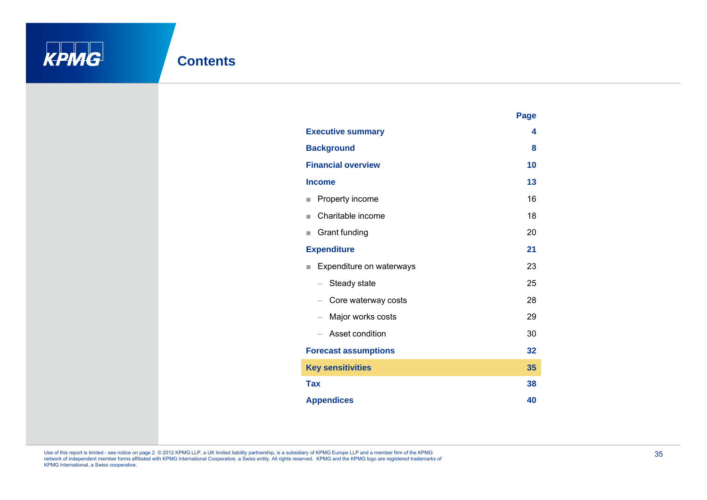

|                                               | $-9-$ |
|-----------------------------------------------|-------|
| <b>Executive summary</b>                      | 4     |
| <b>Background</b>                             | 8     |
| <b>Financial overview</b>                     | 10    |
| <b>Income</b>                                 | 13    |
| Property income                               | 16    |
| Charitable income<br>ш                        | 18    |
| Grant funding<br>ш                            | 20    |
| <b>Expenditure</b>                            | 21    |
| Expenditure on waterways<br>ш                 | 23    |
| Steady state<br>$\qquad \qquad -$             | 25    |
| Core waterway costs                           | 28    |
| Major works costs<br>$\overline{\phantom{0}}$ | 29    |
| Asset condition                               | 30    |
| <b>Forecast assumptions</b>                   | 32    |
| <b>Key sensitivities</b>                      | 35    |
| <b>Tax</b>                                    | 38    |
| <b>Appendices</b>                             | 40    |

**Page**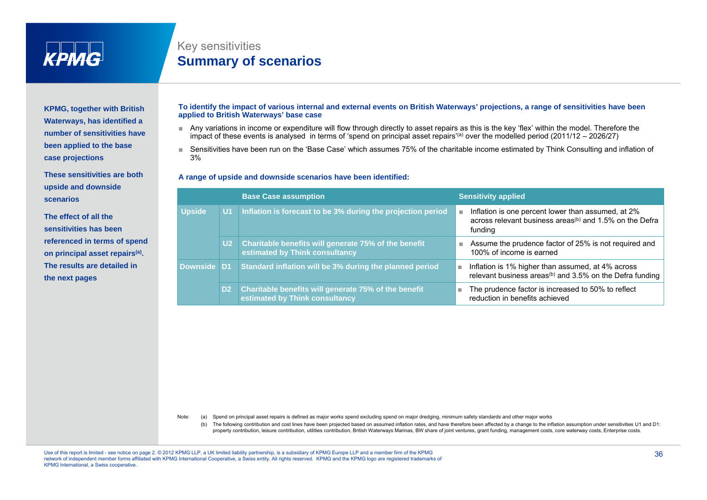

### Key sensitivities **Summary of scenarios**

**KPMG, together with British Waterways, has identified a number of sensitivities have been applied to the base case projections** 

**These sensitivities are both upside and downside scenarios**

**The effect of all the sensitivities has been referenced in terms of spend on principal asset repairs(a). The results are detailed in the next pages**

**To identify the impact of various internal and external events on British Waterways' projections, a range of sensitivities have been applied to British Waterways' base case** 

- Any variations in income or expenditure will flow through directly to asset repairs as this is the key 'flex' within the model. Therefore the impact of these events is analysed in terms of 'spend on principal asset repairs'<sup>(a)</sup> over the modelled period (2011/12 – 2026/27)
- Sensitivities have been run on the 'Base Case' which assumes 75% of the charitable income estimated by Think Consulting and inflation of 3%

#### **A range of upside and downside scenarios have been identified:**

|               |                | <b>Base Case assumption</b>                                                                   | <b>Sensitivity applied</b>                                                                                                                |
|---------------|----------------|-----------------------------------------------------------------------------------------------|-------------------------------------------------------------------------------------------------------------------------------------------|
| <b>Upside</b> | U1             | Inflation is forecast to be 3% during the projection period                                   | Inflation is one percent lower than assumed, at 2%<br>п<br>across relevant business areas <sup>(b)</sup> and 1.5% on the Defra<br>funding |
|               | U <sub>2</sub> | Charitable benefits will generate 75% of the benefit<br>estimated by Think consultancy        | Assume the prudence factor of 25% is not required and<br>П<br>100% of income is earned                                                    |
| Downside D1   |                | Standard inflation will be 3% during the planned period                                       | Inflation is 1% higher than assumed, at 4% across<br>ш<br>relevant business areas <sup>(b)</sup> and 3.5% on the Defra funding            |
|               | D <sub>2</sub> | <b>Charitable benefits will generate 75% of the benefit</b><br>estimated by Think consultancy | The prudence factor is increased to 50% to reflect<br>reduction in benefits achieved                                                      |

Note: (a) Spend on principal asset repairs is defined as major works spend excluding spend on major dredging, minimum safety standards and other major works

(b) The following contribution and cost lines have been projected based on assumed inflation rates, and have therefore been affected by a change to the inflation assumption under sensitivities U1 and D1: property contribution, leisure contribution, utilities contribution, British Waterways Marinas, BW share of joint ventures, grant funding, management costs, core waterway costs, Enterprise costs.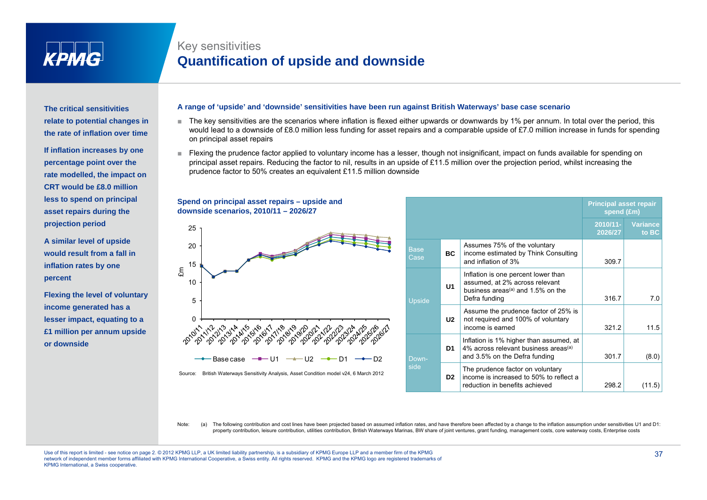

### Key sensitivities **Quantification of upside and downside**

**The critical sensitivities relate to potential changes in the rate of inflation over time**

**If inflation increases by one percentage point over the rate modelled, the impact on CRT would be £8.0 million less to spend on principal asset repairs during the projection period**

**A similar level of upside would result from a fall in inflation rates by one percent**

**Flexing the level of voluntary income generated has <sup>a</sup> has lesser impact, equating to a £1 million per annum upside or downside** 

#### **A range of 'upside' and 'downside' sensitivities have been run against British Waterways' base case scenario**

- The key sensitivities are the scenarios where inflation is flexed either upwards or downwards by 1% per annum. In total over the period, this would lead to a downside of £8.0 million less funding for asset repairs and a comparable upside of £7.0 million increase in funds for spending on principal asset repairs
- Flexing the prudence factor applied to voluntary income has a lesser, though not insignificant, impact on funds available for spending on principal asset repairs. Reducing the factor to nil, results in an upside of £11.5 million over the projection period, whilst increasing the prudence factor to 50% creates an equivalent £11.5 million downside



**Spend on principal asset repairs – upside and** 

|                     |                |                                                                                                                                         | <b>Principal asset repair</b><br>spend (£m) |                          |
|---------------------|----------------|-----------------------------------------------------------------------------------------------------------------------------------------|---------------------------------------------|--------------------------|
|                     |                |                                                                                                                                         | 2010/11-<br>2026/27                         | <b>Variance</b><br>to BC |
| <b>Base</b><br>Case | <b>BC</b>      | Assumes 75% of the voluntary<br>income estimated by Think Consulting<br>and inflation of 3%                                             | 309.7                                       |                          |
| Upside              | U <sub>1</sub> | Inflation is one percent lower than<br>assumed, at 2% across relevant<br>business areas <sup>(a)</sup> and 1.5% on the<br>Defra funding | 316.7                                       | 7.0                      |
|                     | U <sub>2</sub> | Assume the prudence factor of 25% is<br>not required and 100% of voluntary<br>income is earned                                          | 321.2                                       | 11.5                     |
| Down-<br>side       | D1             | Inflation is 1% higher than assumed, at<br>4% across relevant business areas <sup>(a)</sup><br>and 3.5% on the Defra funding            | 301.7                                       | (8.0)                    |
|                     | D <sub>2</sub> | The prudence factor on voluntary<br>income is increased to 50% to reflect a<br>reduction in benefits achieved                           | 298.2                                       | (11.5)                   |

Note: (a) The following contribution and cost lines have been projected based on assumed inflation rates, and have therefore been affected by a change to the inflation assumption under sensitivities U1 and D1: property contribution, leisure contribution, utilities contribution, British Waterways Marinas, BW share of joint ventures, grant funding, management costs, core waterway costs, Enterprise costs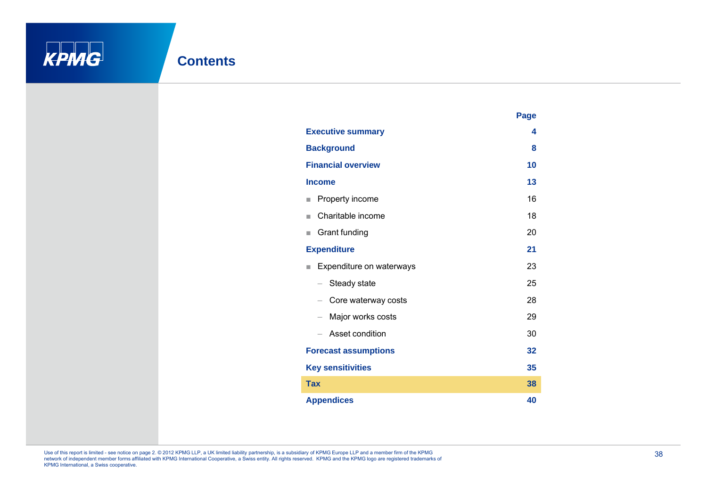

|                                                 | Page |  |
|-------------------------------------------------|------|--|
| <b>Executive summary</b>                        |      |  |
| <b>Background</b>                               | 8    |  |
| <b>Financial overview</b>                       | 10   |  |
| <b>Income</b>                                   | 13   |  |
| Property income<br>ш                            | 16   |  |
| Charitable income<br>٠                          | 18   |  |
| Grant funding<br>ш                              | 20   |  |
| <b>Expenditure</b>                              | 21   |  |
| Expenditure on waterways<br>٠                   | 23   |  |
| Steady state<br>$\qquad \qquad -$               | 25   |  |
| Core waterway costs<br>$\overline{\phantom{0}}$ | 28   |  |
| Major works costs<br>$\overline{\phantom{0}}$   | 29   |  |
| Asset condition<br>$\overline{\phantom{0}}$     | 30   |  |
| <b>Forecast assumptions</b>                     | 32   |  |
| <b>Key sensitivities</b>                        | 35   |  |
| <b>Tax</b>                                      | 38   |  |
| <b>Appendices</b>                               | 40   |  |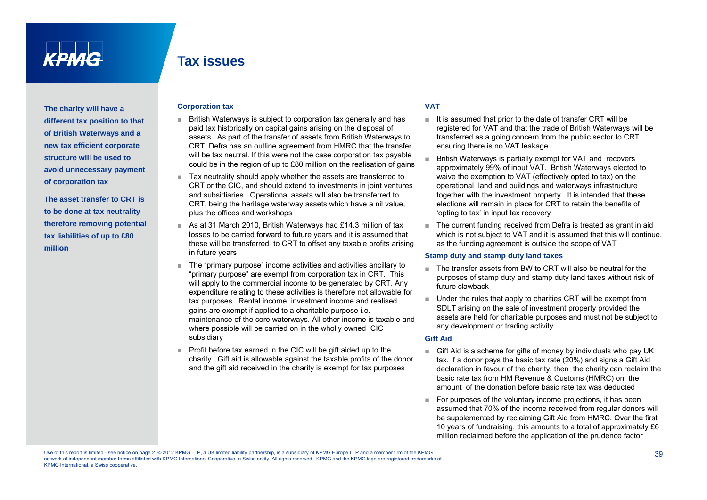**The charity will have a different tax position to that of British Waterways and a new tax efficient corporate structure will be used to avoid unnecessary payment of corporation tax**

**to be done at tax neutrality therefore removing potential tax liabilities of up to £80 million**

#### **Corporation tax**

- ■ British Waterways is subject to corporation tax generally and has paid tax historically on capital gains arising on the disposal of ys and a<br>assets. As part of the transfer of assets from British Waterways to **the transferred as a going concern from the public sector to CRT** CRT, Defra has an outline agreement from HMRC that the transfer will be tax neutral. If this were not the case corporation tax payable could be in the region of up to £80 million on the realisation of gains
- Tax neutrality should apply whether the assets are transferred to CRT or the CIC, and should extend to investments in joint ventures and subsidiaries. Operational assets will also be transferred to **The asset transfer to CRT is**  CRT, being the heritage waterway assets which have a nil value, plus the offices and workshops
	- As at 31 March 2010, British Waterways had £14.3 million of tax losses to be carried forward to future years and it is assumed that these will be transferred to CRT to offset any taxable profits arising and the funding agreement is outside the scope of VAT<br>In future years in future years f
		- The "primary purpose" income activities and activities ancillary to "primary purpose" are exempt from corporation tax in CRT. This will apply to the commercial income to be generated by CRT. Any expenditure relating to these activities is therefore not allowable for tax purposes. Rental income, investment income and realised gains are exempt if applied to a charitable purpose i.e. maintenance of the core waterways. All other income is taxable and where possible will be carried on in the wholly owned CIC subsidiary
		- Profit before tax earned in the CIC will be gift aided up to the charity. Gift aid is allowable against the taxable profits of the donor and the gift aid received in the charity is exempt for tax purposes

#### **VAT**

- It is assumed that prior to the date of transfer CRT will be registered for VAT and that the trade of British Waterways will be d as a going concern from the public sector to CR ensuring there is no VAT leakage
- British Waterways is partially exempt for VAT and recovers approximately 99% of input VAT. British Waterways elected to waive the exemption to VAT (effectively opted to tax) on the operational land and buildings and waterways infrastructure together with the investment property. It is intended that these elections will remain in place for CRT to retain the benefits of 'opting to tax' in input tax recovery
- ■ The current funding received from Defra is treated as grant in aid which is not subject to VAT and it is assumed that this will continue, as the funding agreement is outside the scope of VAT

#### **Stamp duty and stamp duty land taxes**

- The transfer assets from BW to CRT will also be neutral for the purposes of stamp duty and stamp duty land taxes without risk of future clawback
- ■ Under the rules that apply to charities CRT will be exempt from SDLT arising on the sale of investment property provided the assets are held for charitable purposes and must not be subject to any development or trading activity

#### **Gift Aid**

- Gift Aid is a scheme for gifts of money by individuals who pay UK y. Gift aid is allowable against the taxable profits of the donor tax. If a donor pays the basic tax rate (20%) and signs a Gift Aid declaration in favour of the charity, then the charity can reclaim the basic rate tax from HM Revenue & Customs (HMRC) on the amount of the donation before basic rate tax was deducted
	- ■ For purposes of the voluntary income projections, it has been assumed that 70% of the income received from regular donors will be supplemented by reclaiming Gift Aid from HMRC. Over the first 10 years of fundraising, this amounts to a total of approximately £6 million reclaimed before the application of the prudence factor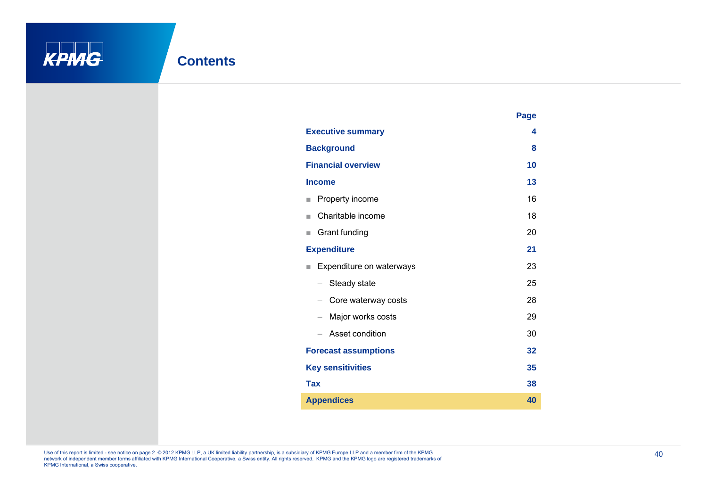

|                               | Page |
|-------------------------------|------|
| <b>Executive summary</b>      | 4    |
| <b>Background</b>             | 8    |
| <b>Financial overview</b>     | 10   |
| <b>Income</b>                 | 13   |
| Property income<br>٠          | 16   |
| Charitable income<br>٠        | 18   |
| Grant funding<br>ш            | 20   |
| <b>Expenditure</b>            | 21   |
| Expenditure on waterways<br>ш | 23   |
| Steady state                  | 25   |
| Core waterway costs           | 28   |
| Major works costs             | 29   |
| Asset condition<br>$-$        | 30   |
| <b>Forecast assumptions</b>   | 32   |
| <b>Key sensitivities</b>      | 35   |
| <b>Tax</b>                    | 38   |
| <b>Appendices</b>             | 40   |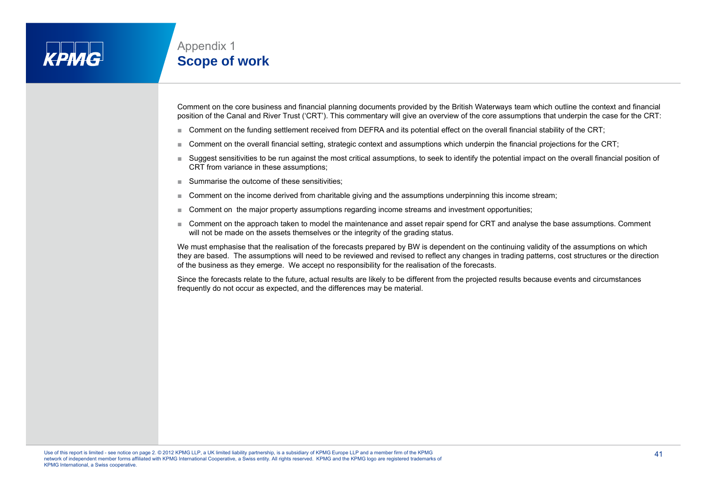

### Appendix 1 **Scope of work**

Comment on the core business and financial planning documents provided by the British Waterways team which outline the context and financial position of the Canal and River Trust ('CRT'). This commentary will give an overview of the core assumptions that underpin the case for the CRT:

- Comment on the funding settlement received from DEFRA and its potential effect on the overall financial stability of the CRT;
- ■Comment on the overall financial setting, strategic context and assumptions which underpin the financial projections for the CRT;
- Suggest sensitivities to be run against the most critical assumptions, to seek to identify the potential impact on the overall financial position of CRT from variance in these assumptions;
- ■Summarise the outcome of these sensitivities;
- ■Comment on the income derived from charitable giving and the assumptions underpinning this income stream;
- ■Comment on the major property assumptions regarding income streams and investment opportunities;
- Comment on the approach taken to model the maintenance and asset repair spend for CRT and analyse the base assumptions. Comment will not be made on the assets themselves or the integrity of the grading status.

We must emphasise that the realisation of the forecasts prepared by BW is dependent on the continuing validity of the assumptions on which they are based. The assumptions will need to be reviewed and revised to reflect any changes in trading patterns, cost structures or the direction of the business as they emerge. We accept no responsibility for the realisation of the forecasts.

Since the forecasts relate to the future, actual results are likely to be different from the projected results because events and circumstances frequently do not occur as expected, and the differences may be material.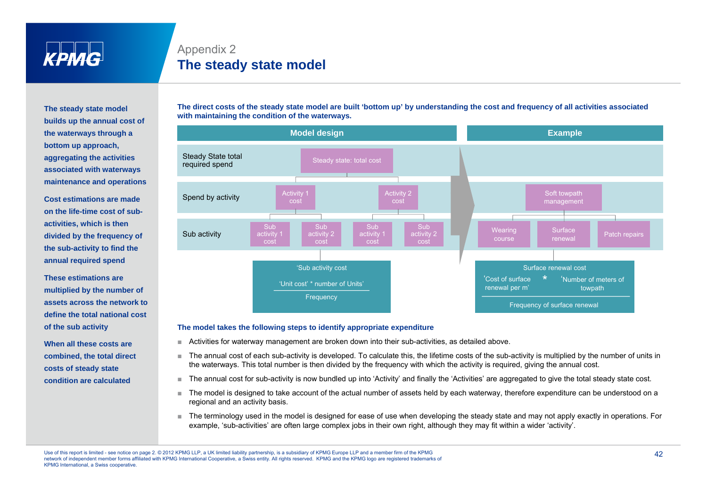

### Appendix 2 **The steady state model**

**The steady state model builds up the annual cost of bottom up approach, aggregating the activities associated with waterways maintenance and operations**

**Cost estimations are made on the life-time cost of subactivities, which is then divided by the frequency of the sub-activity to find the sub activity annual required spend**

**These estimations are multiplied by the number of assets across the network to define the total national cost of the sub activity**

**When all these costs are combined, the total direct costs of steady state condition are calculated**

**The direct costs of the steady state model are built 'bottom up' by understanding the cost and frequency of all activities associated with maintaining the condition of the waterways.**



#### **The model takes the following steps to identify appropriate expenditure**

- ■Activities for waterway management are broken down into their sub-activities, as detailed above.
- The annual cost of each sub-activity is developed. To calculate this, the lifetime costs of the sub-activity is multiplied by the number of units in the waterways. This total number is then divided by the frequency with which the activity is required, giving the annual cost.
- ■The annual cost for sub-activity is now bundled up into 'Activity' and finally the 'Activities' are aggregated to give the total steady state cost.
- The model is designed to take account of the actual number of assets held by each waterway, therefore expenditure can be understood on a regional and an activity basis.
- The terminology used in the model is designed for ease of use when developing the steady state and may not apply exactly in operations. For example, 'sub-activities' are often large complex jobs in their own right, although they may fit within a wider 'activity'.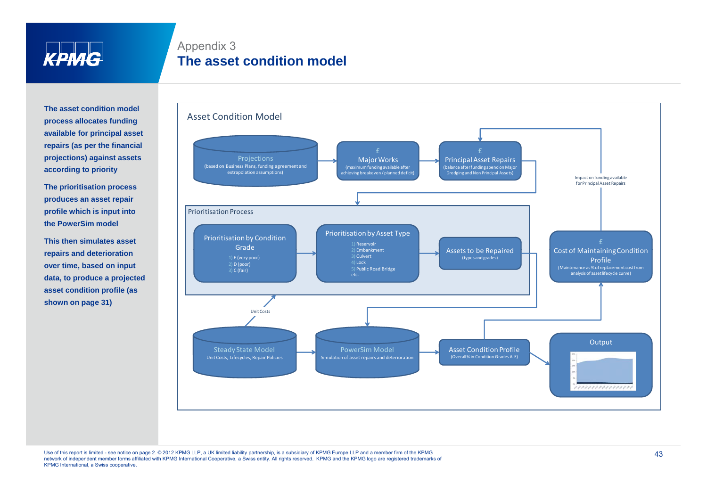

### Appendix 3 **The asset condition model**

**The asset condition model process allocates funding available for principal asset p p repairs (as per the financial projections) against assets according to priority**

**The prioritisation process produces an asset repair profile which is input into the PowerSim model**

**This then simulates asset repairs and deterioration over time, based on input data, to produce a projected asset condition profile (as shown on page 31) pg )**